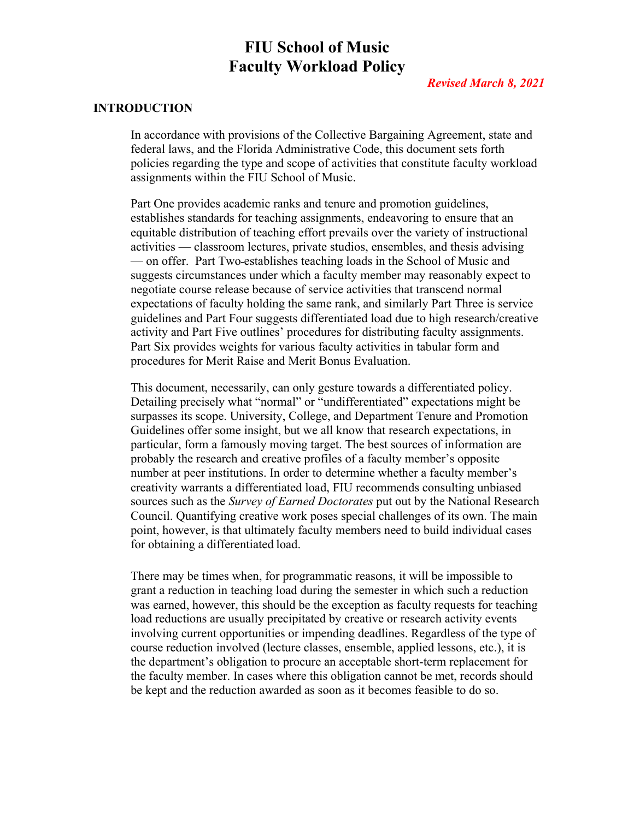# **FIU School of Music Faculty Workload Policy**

## *Revised March 8, 2021*

## **INTRODUCTION**

In accordance with provisions of the Collective Bargaining Agreement, state and federal laws, and the Florida Administrative Code, this document sets forth policies regarding the type and scope of activities that constitute faculty workload assignments within the FIU School of Music.

Part One provides academic ranks and tenure and promotion guidelines, establishes standards for teaching assignments, endeavoring to ensure that an equitable distribution of teaching effort prevails over the variety of instructional activities — classroom lectures, private studios, ensembles, and thesis advising — on offer. Part Two establishes teaching loads in the School of Music and suggests circumstances under which a faculty member may reasonably expect to negotiate course release because of service activities that transcend normal expectations of faculty holding the same rank, and similarly Part Three is service guidelines and Part Four suggests differentiated load due to high research/creative activity and Part Five outlines' procedures for distributing faculty assignments. Part Six provides weights for various faculty activities in tabular form and procedures for Merit Raise and Merit Bonus Evaluation.

This document, necessarily, can only gesture towards a differentiated policy. Detailing precisely what "normal" or "undifferentiated" expectations might be surpasses its scope. University, College, and Department Tenure and Promotion Guidelines offer some insight, but we all know that research expectations, in particular, form a famously moving target. The best sources of information are probably the research and creative profiles of a faculty member's opposite number at peer institutions. In order to determine whether a faculty member's creativity warrants a differentiated load, FIU recommends consulting unbiased sources such as the *Survey of Earned Doctorates* put out by the National Research Council. Quantifying creative work poses special challenges of its own. The main point, however, is that ultimately faculty members need to build individual cases for obtaining a differentiated load.

There may be times when, for programmatic reasons, it will be impossible to grant a reduction in teaching load during the semester in which such a reduction was earned, however, this should be the exception as faculty requests for teaching load reductions are usually precipitated by creative or research activity events involving current opportunities or impending deadlines. Regardless of the type of course reduction involved (lecture classes, ensemble, applied lessons, etc.), it is the department's obligation to procure an acceptable short-term replacement for the faculty member. In cases where this obligation cannot be met, records should be kept and the reduction awarded as soon as it becomes feasible to do so.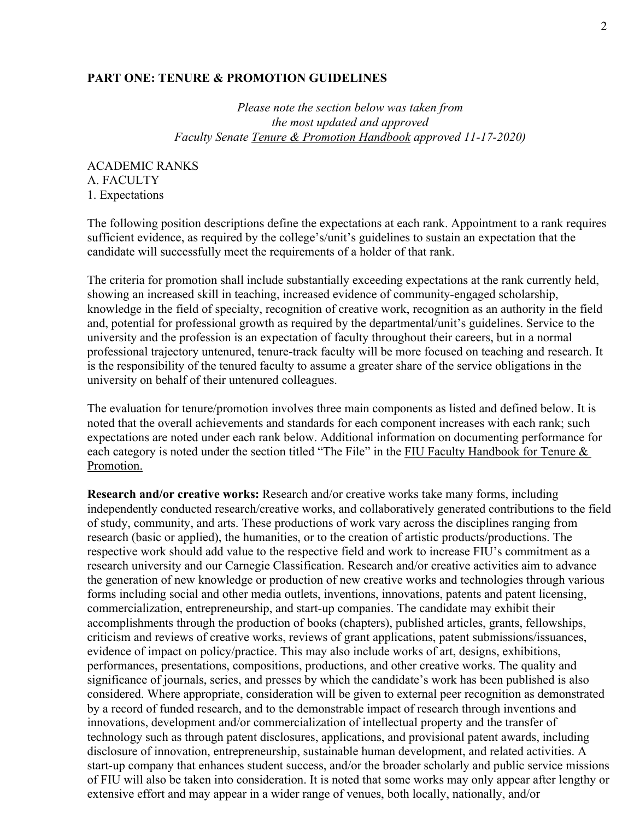#### **PART ONE: TENURE & PROMOTION GUIDELINES**

*Please note the section below was taken from the most updated and approved Faculty Senate Tenure & Promotion Handbook approved 11-17-2020)*

ACADEMIC RANKS A. FACULTY 1. Expectations

The following position descriptions define the expectations at each rank. Appointment to a rank requires sufficient evidence, as required by the college's/unit's guidelines to sustain an expectation that the candidate will successfully meet the requirements of a holder of that rank.

The criteria for promotion shall include substantially exceeding expectations at the rank currently held, showing an increased skill in teaching, increased evidence of community-engaged scholarship, knowledge in the field of specialty, recognition of creative work, recognition as an authority in the field and, potential for professional growth as required by the departmental/unit's guidelines. Service to the university and the profession is an expectation of faculty throughout their careers, but in a normal professional trajectory untenured, tenure-track faculty will be more focused on teaching and research. It is the responsibility of the tenured faculty to assume a greater share of the service obligations in the university on behalf of their untenured colleagues.

The evaluation for tenure/promotion involves three main components as listed and defined below. It is noted that the overall achievements and standards for each component increases with each rank; such expectations are noted under each rank below. Additional information on documenting performance for each category is noted under the section titled "The File" in the FIU Faculty Handbook for Tenure & Promotion.

**Research and/or creative works:** Research and/or creative works take many forms, including independently conducted research/creative works, and collaboratively generated contributions to the field of study, community, and arts. These productions of work vary across the disciplines ranging from research (basic or applied), the humanities, or to the creation of artistic products/productions. The respective work should add value to the respective field and work to increase FIU's commitment as a research university and our Carnegie Classification. Research and/or creative activities aim to advance the generation of new knowledge or production of new creative works and technologies through various forms including social and other media outlets, inventions, innovations, patents and patent licensing, commercialization, entrepreneurship, and start-up companies. The candidate may exhibit their accomplishments through the production of books (chapters), published articles, grants, fellowships, criticism and reviews of creative works, reviews of grant applications, patent submissions/issuances, evidence of impact on policy/practice. This may also include works of art, designs, exhibitions, performances, presentations, compositions, productions, and other creative works. The quality and significance of journals, series, and presses by which the candidate's work has been published is also considered. Where appropriate, consideration will be given to external peer recognition as demonstrated by a record of funded research, and to the demonstrable impact of research through inventions and innovations, development and/or commercialization of intellectual property and the transfer of technology such as through patent disclosures, applications, and provisional patent awards, including disclosure of innovation, entrepreneurship, sustainable human development, and related activities. A start-up company that enhances student success, and/or the broader scholarly and public service missions of FIU will also be taken into consideration. It is noted that some works may only appear after lengthy or extensive effort and may appear in a wider range of venues, both locally, nationally, and/or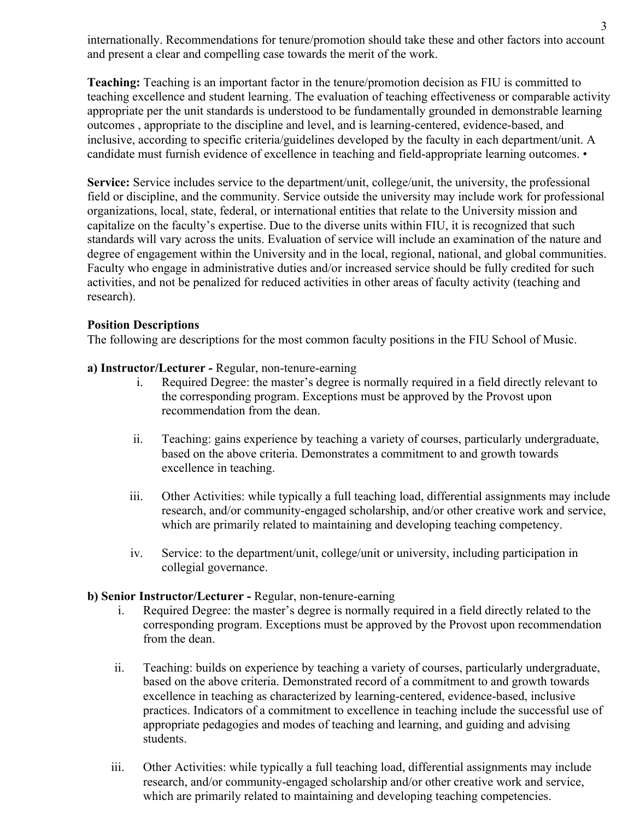internationally. Recommendations for tenure/promotion should take these and other factors into account and present a clear and compelling case towards the merit of the work.

**Teaching:** Teaching is an important factor in the tenure/promotion decision as FIU is committed to teaching excellence and student learning. The evaluation of teaching effectiveness or comparable activity appropriate per the unit standards is understood to be fundamentally grounded in demonstrable learning outcomes , appropriate to the discipline and level, and is learning-centered, evidence-based, and inclusive, according to specific criteria/guidelines developed by the faculty in each department/unit. A candidate must furnish evidence of excellence in teaching and field-appropriate learning outcomes. •

Service: Service includes service to the department/unit, college/unit, the university, the professional field or discipline, and the community. Service outside the university may include work for professional organizations, local, state, federal, or international entities that relate to the University mission and capitalize on the faculty's expertise. Due to the diverse units within FIU, it is recognized that such standards will vary across the units. Evaluation of service will include an examination of the nature and degree of engagement within the University and in the local, regional, national, and global communities. Faculty who engage in administrative duties and/or increased service should be fully credited for such activities, and not be penalized for reduced activities in other areas of faculty activity (teaching and research).

## **Position Descriptions**

The following are descriptions for the most common faculty positions in the FIU School of Music.

## **a) Instructor/Lecturer -** Regular, non-tenure-earning

- i. Required Degree: the master's degree is normally required in a field directly relevant to the corresponding program. Exceptions must be approved by the Provost upon recommendation from the dean.
- ii. Teaching: gains experience by teaching a variety of courses, particularly undergraduate, based on the above criteria. Demonstrates a commitment to and growth towards excellence in teaching.
- iii. Other Activities: while typically a full teaching load, differential assignments may include research, and/or community-engaged scholarship, and/or other creative work and service, which are primarily related to maintaining and developing teaching competency.
- iv. Service: to the department/unit, college/unit or university, including participation in collegial governance.

## **b) Senior Instructor/Lecturer -** Regular, non-tenure-earning

- i. Required Degree: the master's degree is normally required in a field directly related to the corresponding program. Exceptions must be approved by the Provost upon recommendation from the dean.
- ii. Teaching: builds on experience by teaching a variety of courses, particularly undergraduate, based on the above criteria. Demonstrated record of a commitment to and growth towards excellence in teaching as characterized by learning-centered, evidence-based, inclusive practices. Indicators of a commitment to excellence in teaching include the successful use of appropriate pedagogies and modes of teaching and learning, and guiding and advising students.
- iii. Other Activities: while typically a full teaching load, differential assignments may include research, and/or community-engaged scholarship and/or other creative work and service, which are primarily related to maintaining and developing teaching competencies.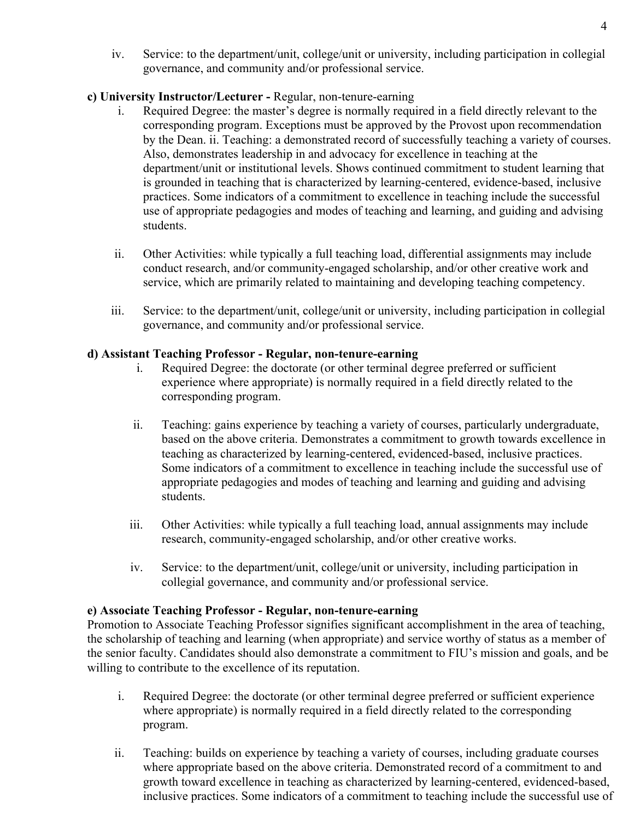iv. Service: to the department/unit, college/unit or university, including participation in collegial governance, and community and/or professional service.

# **c) University Instructor/Lecturer -** Regular, non-tenure-earning

- i. Required Degree: the master's degree is normally required in a field directly relevant to the corresponding program. Exceptions must be approved by the Provost upon recommendation by the Dean. ii. Teaching: a demonstrated record of successfully teaching a variety of courses. Also, demonstrates leadership in and advocacy for excellence in teaching at the department/unit or institutional levels. Shows continued commitment to student learning that is grounded in teaching that is characterized by learning-centered, evidence-based, inclusive practices. Some indicators of a commitment to excellence in teaching include the successful use of appropriate pedagogies and modes of teaching and learning, and guiding and advising students.
- ii. Other Activities: while typically a full teaching load, differential assignments may include conduct research, and/or community-engaged scholarship, and/or other creative work and service, which are primarily related to maintaining and developing teaching competency.
- iii. Service: to the department/unit, college/unit or university, including participation in collegial governance, and community and/or professional service.

# **d) Assistant Teaching Professor - Regular, non-tenure-earning**

- i. Required Degree: the doctorate (or other terminal degree preferred or sufficient experience where appropriate) is normally required in a field directly related to the corresponding program.
- ii. Teaching: gains experience by teaching a variety of courses, particularly undergraduate, based on the above criteria. Demonstrates a commitment to growth towards excellence in teaching as characterized by learning-centered, evidenced-based, inclusive practices. Some indicators of a commitment to excellence in teaching include the successful use of appropriate pedagogies and modes of teaching and learning and guiding and advising students.
- iii. Other Activities: while typically a full teaching load, annual assignments may include research, community-engaged scholarship, and/or other creative works.
- iv. Service: to the department/unit, college/unit or university, including participation in collegial governance, and community and/or professional service.

# **e) Associate Teaching Professor - Regular, non-tenure-earning**

Promotion to Associate Teaching Professor signifies significant accomplishment in the area of teaching, the scholarship of teaching and learning (when appropriate) and service worthy of status as a member of the senior faculty. Candidates should also demonstrate a commitment to FIU's mission and goals, and be willing to contribute to the excellence of its reputation.

- i. Required Degree: the doctorate (or other terminal degree preferred or sufficient experience where appropriate) is normally required in a field directly related to the corresponding program.
- ii. Teaching: builds on experience by teaching a variety of courses, including graduate courses where appropriate based on the above criteria. Demonstrated record of a commitment to and growth toward excellence in teaching as characterized by learning-centered, evidenced-based, inclusive practices. Some indicators of a commitment to teaching include the successful use of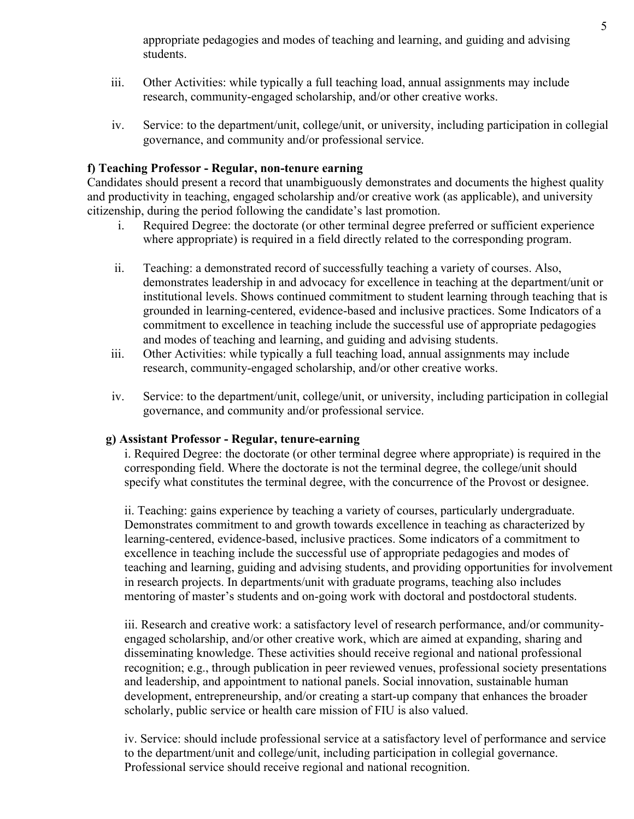appropriate pedagogies and modes of teaching and learning, and guiding and advising students.

- iii. Other Activities: while typically a full teaching load, annual assignments may include research, community-engaged scholarship, and/or other creative works.
- iv. Service: to the department/unit, college/unit, or university, including participation in collegial governance, and community and/or professional service.

# **f) Teaching Professor - Regular, non-tenure earning**

Candidates should present a record that unambiguously demonstrates and documents the highest quality and productivity in teaching, engaged scholarship and/or creative work (as applicable), and university citizenship, during the period following the candidate's last promotion.

- i. Required Degree: the doctorate (or other terminal degree preferred or sufficient experience where appropriate) is required in a field directly related to the corresponding program.
- ii. Teaching: a demonstrated record of successfully teaching a variety of courses. Also, demonstrates leadership in and advocacy for excellence in teaching at the department/unit or institutional levels. Shows continued commitment to student learning through teaching that is grounded in learning-centered, evidence-based and inclusive practices. Some Indicators of a commitment to excellence in teaching include the successful use of appropriate pedagogies and modes of teaching and learning, and guiding and advising students.
- iii. Other Activities: while typically a full teaching load, annual assignments may include research, community-engaged scholarship, and/or other creative works.
- iv. Service: to the department/unit, college/unit, or university, including participation in collegial governance, and community and/or professional service.

## **g) Assistant Professor - Regular, tenure-earning**

i. Required Degree: the doctorate (or other terminal degree where appropriate) is required in the corresponding field. Where the doctorate is not the terminal degree, the college/unit should specify what constitutes the terminal degree, with the concurrence of the Provost or designee.

ii. Teaching: gains experience by teaching a variety of courses, particularly undergraduate. Demonstrates commitment to and growth towards excellence in teaching as characterized by learning-centered, evidence-based, inclusive practices. Some indicators of a commitment to excellence in teaching include the successful use of appropriate pedagogies and modes of teaching and learning, guiding and advising students, and providing opportunities for involvement in research projects. In departments/unit with graduate programs, teaching also includes mentoring of master's students and on-going work with doctoral and postdoctoral students.

iii. Research and creative work: a satisfactory level of research performance, and/or communityengaged scholarship, and/or other creative work, which are aimed at expanding, sharing and disseminating knowledge. These activities should receive regional and national professional recognition; e.g., through publication in peer reviewed venues, professional society presentations and leadership, and appointment to national panels. Social innovation, sustainable human development, entrepreneurship, and/or creating a start-up company that enhances the broader scholarly, public service or health care mission of FIU is also valued.

iv. Service: should include professional service at a satisfactory level of performance and service to the department/unit and college/unit, including participation in collegial governance. Professional service should receive regional and national recognition.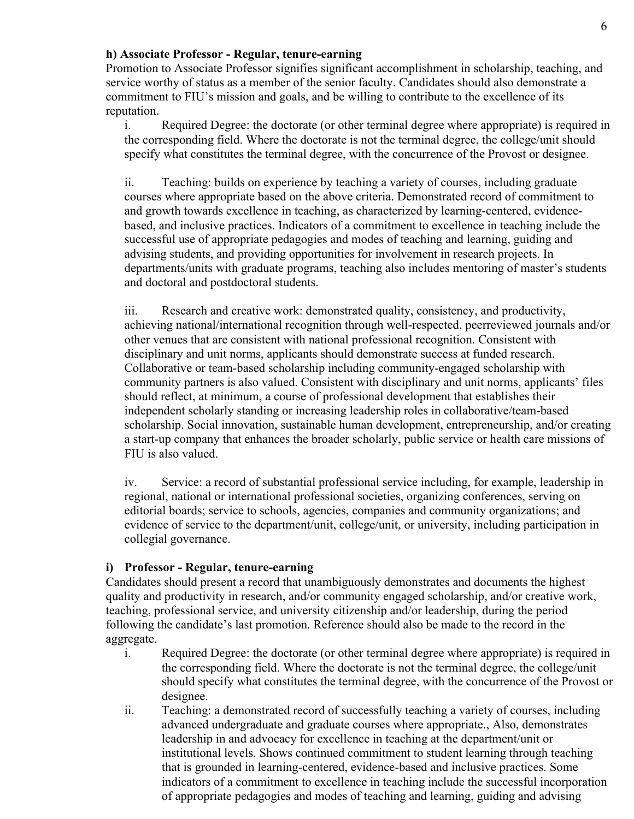## **h) Associate Professor - Regular, tenure-earning**

Promotion to Associate Professor signifies significant accomplishment in scholarship, teaching, and service worthy of status as a member of the senior faculty. Candidates should also demonstrate a commitment to FIU's mission and goals, and be willing to contribute to the excellence of its reputation.

i. Required Degree: the doctorate (or other terminal degree where appropriate) is required in the corresponding field. Where the doctorate is not the terminal degree, the college/unit should specify what constitutes the terminal degree, with the concurrence of the Provost or designee.

ii. Teaching: builds on experience by teaching a variety of courses, including graduate courses where appropriate based on the above criteria. Demonstrated record of commitment to and growth towards excellence in teaching, as characterized by learning-centered, evidencebased, and inclusive practices. Indicators of a commitment to excellence in teaching include the successful use of appropriate pedagogies and modes of teaching and learning, guiding and advising students, and providing opportunities for involvement in research projects. In departments/units with graduate programs, teaching also includes mentoring of master's students and doctoral and postdoctoral students.

iii. Research and creative work: demonstrated quality, consistency, and productivity, achieving national/international recognition through well-respected, peerreviewed journals and/or other venues that are consistent with national professional recognition. Consistent with disciplinary and unit norms, applicants should demonstrate success at funded research. Collaborative or team-based scholarship including community-engaged scholarship with community partners is also valued. Consistent with disciplinary and unit norms, applicants' files should reflect, at minimum, a course of professional development that establishes their independent scholarly standing or increasing leadership roles in collaborative/team-based scholarship. Social innovation, sustainable human development, entrepreneurship, and/or creating a start-up company that enhances the broader scholarly, public service or health care missions of FIU is also valued.

iv. Service: a record of substantial professional service including, for example, leadership in regional, national or international professional societies, organizing conferences, serving on editorial boards; service to schools, agencies, companies and community organizations; and evidence of service to the department/unit, college/unit, or university, including participation in collegial governance.

# **i) Professor - Regular, tenure-earning**

Candidates should present a record that unambiguously demonstrates and documents the highest quality and productivity in research, and/or community engaged scholarship, and/or creative work, teaching, professional service, and university citizenship and/or leadership, during the period following the candidate's last promotion. Reference should also be made to the record in the aggregate.

- i. Required Degree: the doctorate (or other terminal degree where appropriate) is required in the corresponding field. Where the doctorate is not the terminal degree, the college/unit should specify what constitutes the terminal degree, with the concurrence of the Provost or designee.
- ii. Teaching: a demonstrated record of successfully teaching a variety of courses, including advanced undergraduate and graduate courses where appropriate., Also, demonstrates leadership in and advocacy for excellence in teaching at the department/unit or institutional levels. Shows continued commitment to student learning through teaching that is grounded in learning-centered, evidence-based and inclusive practices. Some indicators of a commitment to excellence in teaching include the successful incorporation of appropriate pedagogies and modes of teaching and learning, guiding and advising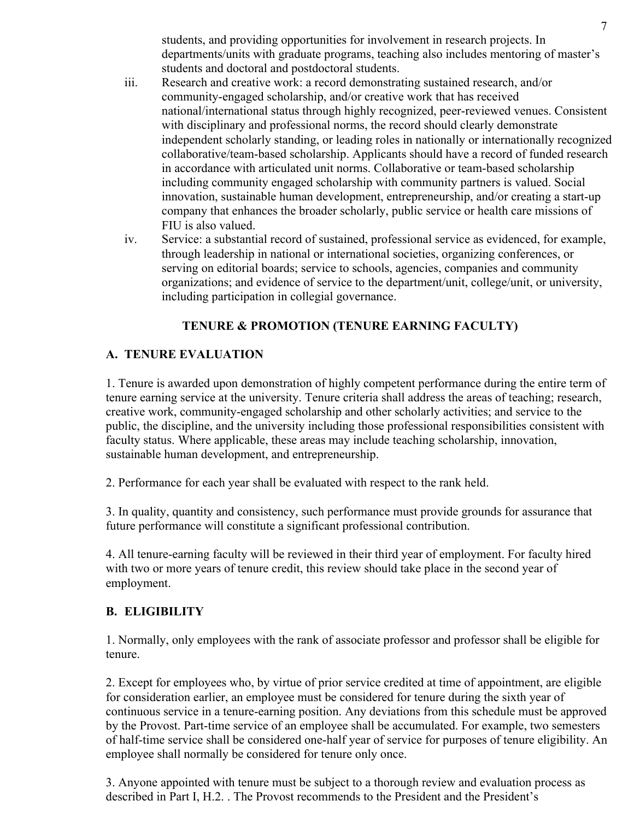students, and providing opportunities for involvement in research projects. In departments/units with graduate programs, teaching also includes mentoring of master's students and doctoral and postdoctoral students.

- iii. Research and creative work: a record demonstrating sustained research, and/or community-engaged scholarship, and/or creative work that has received national/international status through highly recognized, peer-reviewed venues. Consistent with disciplinary and professional norms, the record should clearly demonstrate independent scholarly standing, or leading roles in nationally or internationally recognized collaborative/team-based scholarship. Applicants should have a record of funded research in accordance with articulated unit norms. Collaborative or team-based scholarship including community engaged scholarship with community partners is valued. Social innovation, sustainable human development, entrepreneurship, and/or creating a start-up company that enhances the broader scholarly, public service or health care missions of FIU is also valued.
- iv. Service: a substantial record of sustained, professional service as evidenced, for example, through leadership in national or international societies, organizing conferences, or serving on editorial boards; service to schools, agencies, companies and community organizations; and evidence of service to the department/unit, college/unit, or university, including participation in collegial governance.

# **TENURE & PROMOTION (TENURE EARNING FACULTY)**

# **A. TENURE EVALUATION**

1. Tenure is awarded upon demonstration of highly competent performance during the entire term of tenure earning service at the university. Tenure criteria shall address the areas of teaching; research, creative work, community-engaged scholarship and other scholarly activities; and service to the public, the discipline, and the university including those professional responsibilities consistent with faculty status. Where applicable, these areas may include teaching scholarship, innovation, sustainable human development, and entrepreneurship.

2. Performance for each year shall be evaluated with respect to the rank held.

3. In quality, quantity and consistency, such performance must provide grounds for assurance that future performance will constitute a significant professional contribution.

4. All tenure-earning faculty will be reviewed in their third year of employment. For faculty hired with two or more years of tenure credit, this review should take place in the second year of employment.

# **B. ELIGIBILITY**

1. Normally, only employees with the rank of associate professor and professor shall be eligible for tenure.

2. Except for employees who, by virtue of prior service credited at time of appointment, are eligible for consideration earlier, an employee must be considered for tenure during the sixth year of continuous service in a tenure-earning position. Any deviations from this schedule must be approved by the Provost. Part-time service of an employee shall be accumulated. For example, two semesters of half-time service shall be considered one-half year of service for purposes of tenure eligibility. An employee shall normally be considered for tenure only once.

3. Anyone appointed with tenure must be subject to a thorough review and evaluation process as described in Part I, H.2. . The Provost recommends to the President and the President's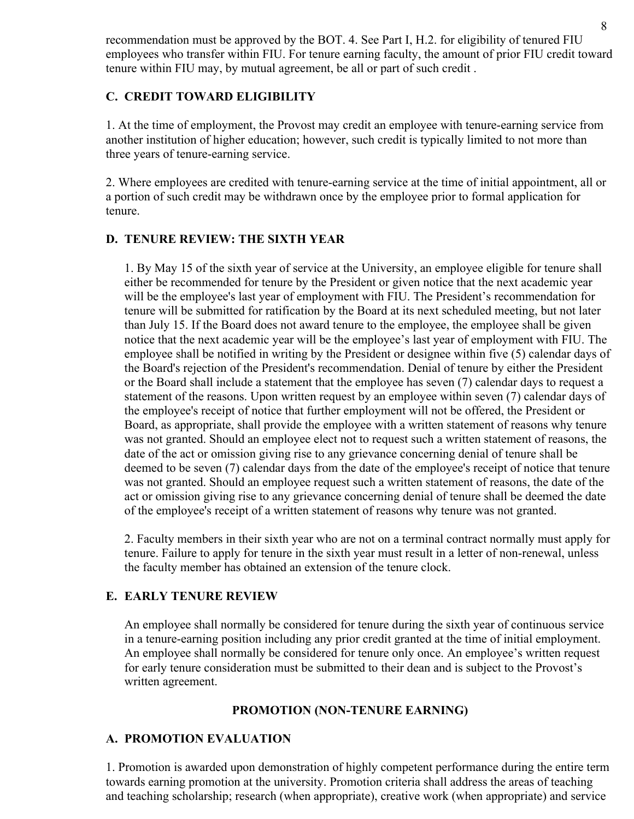recommendation must be approved by the BOT. 4. See Part I, H.2. for eligibility of tenured FIU employees who transfer within FIU. For tenure earning faculty, the amount of prior FIU credit toward tenure within FIU may, by mutual agreement, be all or part of such credit .

# **C. CREDIT TOWARD ELIGIBILITY**

1. At the time of employment, the Provost may credit an employee with tenure-earning service from another institution of higher education; however, such credit is typically limited to not more than three years of tenure-earning service.

2. Where employees are credited with tenure-earning service at the time of initial appointment, all or a portion of such credit may be withdrawn once by the employee prior to formal application for tenure.

# **D. TENURE REVIEW: THE SIXTH YEAR**

1. By May 15 of the sixth year of service at the University, an employee eligible for tenure shall either be recommended for tenure by the President or given notice that the next academic year will be the employee's last year of employment with FIU. The President's recommendation for tenure will be submitted for ratification by the Board at its next scheduled meeting, but not later than July 15. If the Board does not award tenure to the employee, the employee shall be given notice that the next academic year will be the employee's last year of employment with FIU. The employee shall be notified in writing by the President or designee within five (5) calendar days of the Board's rejection of the President's recommendation. Denial of tenure by either the President or the Board shall include a statement that the employee has seven (7) calendar days to request a statement of the reasons. Upon written request by an employee within seven (7) calendar days of the employee's receipt of notice that further employment will not be offered, the President or Board, as appropriate, shall provide the employee with a written statement of reasons why tenure was not granted. Should an employee elect not to request such a written statement of reasons, the date of the act or omission giving rise to any grievance concerning denial of tenure shall be deemed to be seven (7) calendar days from the date of the employee's receipt of notice that tenure was not granted. Should an employee request such a written statement of reasons, the date of the act or omission giving rise to any grievance concerning denial of tenure shall be deemed the date of the employee's receipt of a written statement of reasons why tenure was not granted.

2. Faculty members in their sixth year who are not on a terminal contract normally must apply for tenure. Failure to apply for tenure in the sixth year must result in a letter of non-renewal, unless the faculty member has obtained an extension of the tenure clock.

# **E. EARLY TENURE REVIEW**

An employee shall normally be considered for tenure during the sixth year of continuous service in a tenure-earning position including any prior credit granted at the time of initial employment. An employee shall normally be considered for tenure only once. An employee's written request for early tenure consideration must be submitted to their dean and is subject to the Provost's written agreement.

## **PROMOTION (NON-TENURE EARNING)**

# **A. PROMOTION EVALUATION**

1. Promotion is awarded upon demonstration of highly competent performance during the entire term towards earning promotion at the university. Promotion criteria shall address the areas of teaching and teaching scholarship; research (when appropriate), creative work (when appropriate) and service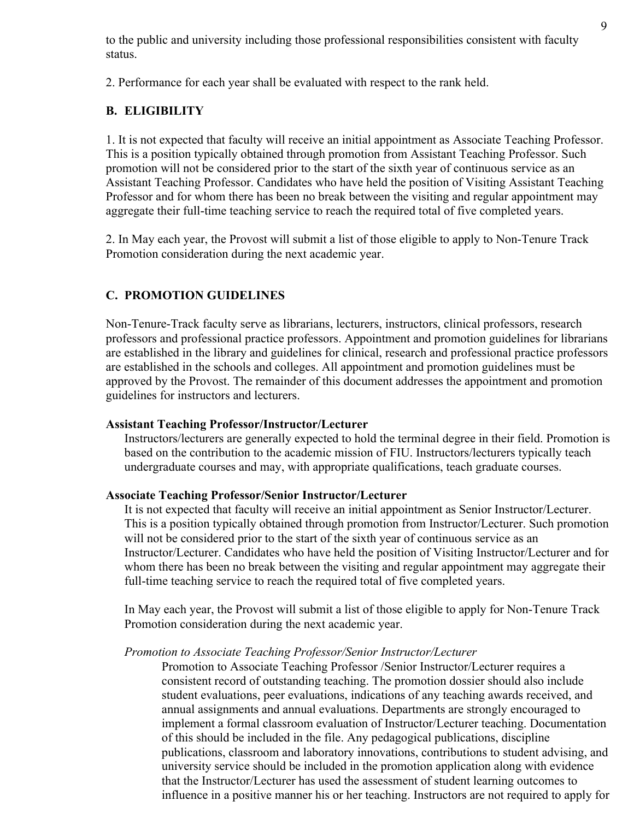to the public and university including those professional responsibilities consistent with faculty status.

2. Performance for each year shall be evaluated with respect to the rank held.

# **B. ELIGIBILITY**

1. It is not expected that faculty will receive an initial appointment as Associate Teaching Professor. This is a position typically obtained through promotion from Assistant Teaching Professor. Such promotion will not be considered prior to the start of the sixth year of continuous service as an Assistant Teaching Professor. Candidates who have held the position of Visiting Assistant Teaching Professor and for whom there has been no break between the visiting and regular appointment may aggregate their full-time teaching service to reach the required total of five completed years.

2. In May each year, the Provost will submit a list of those eligible to apply to Non-Tenure Track Promotion consideration during the next academic year.

# **C. PROMOTION GUIDELINES**

Non-Tenure-Track faculty serve as librarians, lecturers, instructors, clinical professors, research professors and professional practice professors. Appointment and promotion guidelines for librarians are established in the library and guidelines for clinical, research and professional practice professors are established in the schools and colleges. All appointment and promotion guidelines must be approved by the Provost. The remainder of this document addresses the appointment and promotion guidelines for instructors and lecturers.

## **Assistant Teaching Professor/Instructor/Lecturer**

Instructors/lecturers are generally expected to hold the terminal degree in their field. Promotion is based on the contribution to the academic mission of FIU. Instructors/lecturers typically teach undergraduate courses and may, with appropriate qualifications, teach graduate courses.

## **Associate Teaching Professor/Senior Instructor/Lecturer**

It is not expected that faculty will receive an initial appointment as Senior Instructor/Lecturer. This is a position typically obtained through promotion from Instructor/Lecturer. Such promotion will not be considered prior to the start of the sixth year of continuous service as an Instructor/Lecturer. Candidates who have held the position of Visiting Instructor/Lecturer and for whom there has been no break between the visiting and regular appointment may aggregate their full-time teaching service to reach the required total of five completed years.

In May each year, the Provost will submit a list of those eligible to apply for Non-Tenure Track Promotion consideration during the next academic year.

## *Promotion to Associate Teaching Professor/Senior Instructor/Lecturer*

Promotion to Associate Teaching Professor /Senior Instructor/Lecturer requires a consistent record of outstanding teaching. The promotion dossier should also include student evaluations, peer evaluations, indications of any teaching awards received, and annual assignments and annual evaluations. Departments are strongly encouraged to implement a formal classroom evaluation of Instructor/Lecturer teaching. Documentation of this should be included in the file. Any pedagogical publications, discipline publications, classroom and laboratory innovations, contributions to student advising, and university service should be included in the promotion application along with evidence that the Instructor/Lecturer has used the assessment of student learning outcomes to influence in a positive manner his or her teaching. Instructors are not required to apply for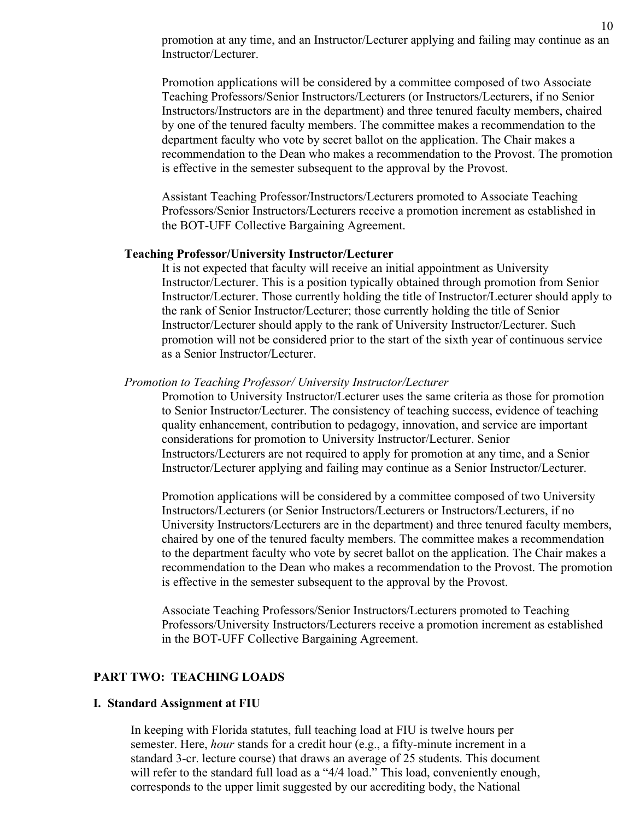promotion at any time, and an Instructor/Lecturer applying and failing may continue as an Instructor/Lecturer.

Promotion applications will be considered by a committee composed of two Associate Teaching Professors/Senior Instructors/Lecturers (or Instructors/Lecturers, if no Senior Instructors/Instructors are in the department) and three tenured faculty members, chaired by one of the tenured faculty members. The committee makes a recommendation to the department faculty who vote by secret ballot on the application. The Chair makes a recommendation to the Dean who makes a recommendation to the Provost. The promotion is effective in the semester subsequent to the approval by the Provost.

Assistant Teaching Professor/Instructors/Lecturers promoted to Associate Teaching Professors/Senior Instructors/Lecturers receive a promotion increment as established in the BOT-UFF Collective Bargaining Agreement.

#### **Teaching Professor/University Instructor/Lecturer**

It is not expected that faculty will receive an initial appointment as University Instructor/Lecturer. This is a position typically obtained through promotion from Senior Instructor/Lecturer. Those currently holding the title of Instructor/Lecturer should apply to the rank of Senior Instructor/Lecturer; those currently holding the title of Senior Instructor/Lecturer should apply to the rank of University Instructor/Lecturer. Such promotion will not be considered prior to the start of the sixth year of continuous service as a Senior Instructor/Lecturer.

#### *Promotion to Teaching Professor/ University Instructor/Lecturer*

Promotion to University Instructor/Lecturer uses the same criteria as those for promotion to Senior Instructor/Lecturer. The consistency of teaching success, evidence of teaching quality enhancement, contribution to pedagogy, innovation, and service are important considerations for promotion to University Instructor/Lecturer. Senior Instructors/Lecturers are not required to apply for promotion at any time, and a Senior Instructor/Lecturer applying and failing may continue as a Senior Instructor/Lecturer.

Promotion applications will be considered by a committee composed of two University Instructors/Lecturers (or Senior Instructors/Lecturers or Instructors/Lecturers, if no University Instructors/Lecturers are in the department) and three tenured faculty members, chaired by one of the tenured faculty members. The committee makes a recommendation to the department faculty who vote by secret ballot on the application. The Chair makes a recommendation to the Dean who makes a recommendation to the Provost. The promotion is effective in the semester subsequent to the approval by the Provost.

Associate Teaching Professors/Senior Instructors/Lecturers promoted to Teaching Professors/University Instructors/Lecturers receive a promotion increment as established in the BOT-UFF Collective Bargaining Agreement.

## **PART TWO: TEACHING LOADS**

#### **I. Standard Assignment at FIU**

In keeping with Florida statutes, full teaching load at FIU is twelve hours per semester. Here, *hour* stands for a credit hour (e.g., a fifty-minute increment in a standard 3-cr. lecture course) that draws an average of 25 students. This document will refer to the standard full load as a "4/4 load." This load, conveniently enough, corresponds to the upper limit suggested by our accrediting body, the National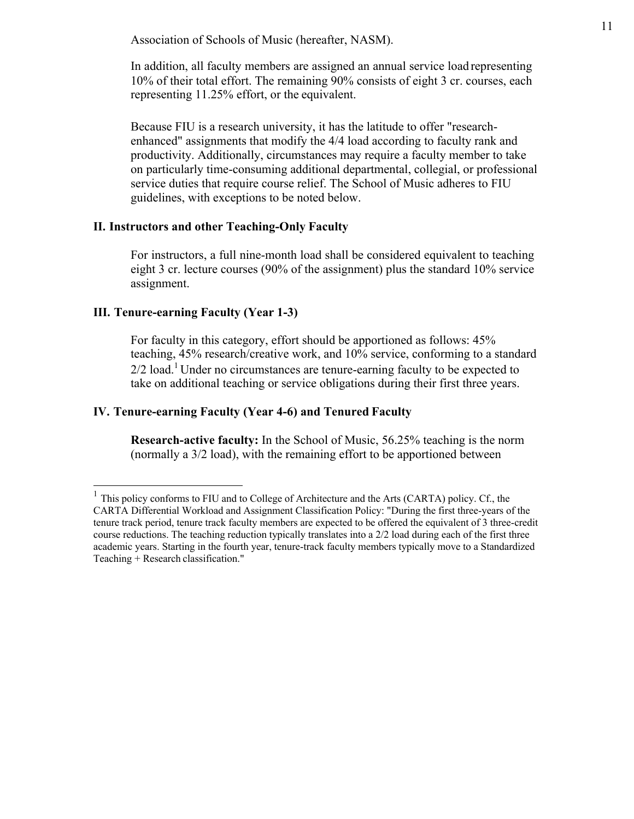Association of Schools of Music (hereafter, NASM).

In addition, all faculty members are assigned an annual service load representing 10% of their total effort. The remaining 90% consists of eight 3 cr. courses, each representing 11.25% effort, or the equivalent.

Because FIU is a research university, it has the latitude to offer "researchenhanced" assignments that modify the 4/4 load according to faculty rank and productivity. Additionally, circumstances may require a faculty member to take on particularly time-consuming additional departmental, collegial, or professional service duties that require course relief. The School of Music adheres to FIU guidelines, with exceptions to be noted below.

#### **II. Instructors and other Teaching-Only Faculty**

For instructors, a full nine-month load shall be considered equivalent to teaching eight 3 cr. lecture courses (90% of the assignment) plus the standard 10% service assignment.

### **III. Tenure-earning Faculty (Year 1-3)**

For faculty in this category, effort should be apportioned as follows: 45% teaching, 45% research/creative work, and 10% service, conforming to a standard  $2/2$  load.<sup>1</sup> Under no circumstances are tenure-earning faculty to be expected to take on additional teaching or service obligations during their first three years.

## **IV. Tenure-earning Faculty (Year 4-6) and Tenured Faculty**

**Research-active faculty:** In the School of Music, 56.25% teaching is the norm (normally a 3/2 load), with the remaining effort to be apportioned between

<sup>&</sup>lt;sup>1</sup> This policy conforms to FIU and to College of Architecture and the Arts (CARTA) policy. Cf., the CARTA Differential Workload and Assignment Classification Policy: "During the first three-years of the tenure track period, tenure track faculty members are expected to be offered the equivalent of 3 three-credit course reductions. The teaching reduction typically translates into a 2/2 load during each of the first three academic years. Starting in the fourth year, tenure-track faculty members typically move to a Standardized Teaching + Research classification."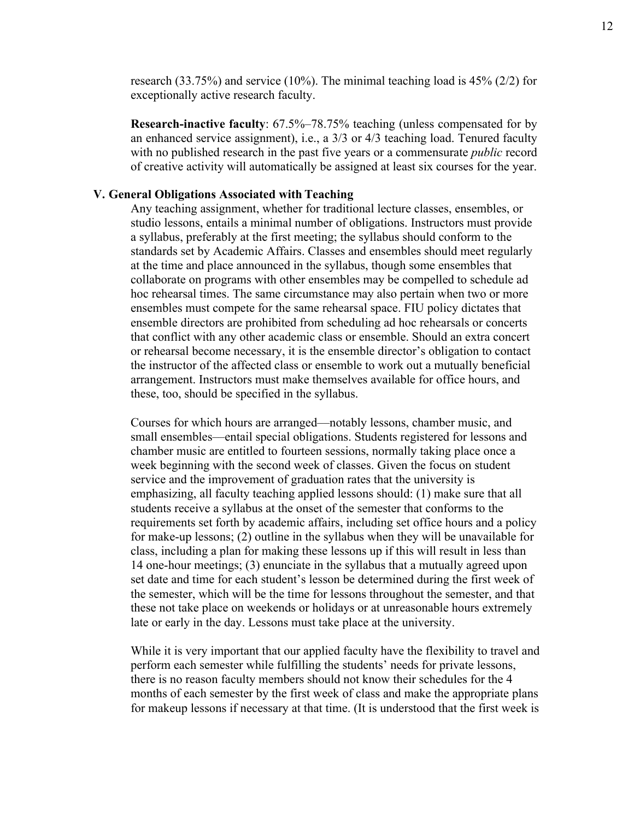research (33.75%) and service (10%). The minimal teaching load is  $45\%$  (2/2) for exceptionally active research faculty.

**Research-inactive faculty**: 67.5%–78.75% teaching (unless compensated for by an enhanced service assignment), i.e., a 3/3 or 4/3 teaching load. Tenured faculty with no published research in the past five years or a commensurate *public* record of creative activity will automatically be assigned at least six courses for the year.

### **V. General Obligations Associated with Teaching**

Any teaching assignment, whether for traditional lecture classes, ensembles, or studio lessons, entails a minimal number of obligations. Instructors must provide a syllabus, preferably at the first meeting; the syllabus should conform to the standards set by Academic Affairs. Classes and ensembles should meet regularly at the time and place announced in the syllabus, though some ensembles that collaborate on programs with other ensembles may be compelled to schedule ad hoc rehearsal times. The same circumstance may also pertain when two or more ensembles must compete for the same rehearsal space. FIU policy dictates that ensemble directors are prohibited from scheduling ad hoc rehearsals or concerts that conflict with any other academic class or ensemble. Should an extra concert or rehearsal become necessary, it is the ensemble director's obligation to contact the instructor of the affected class or ensemble to work out a mutually beneficial arrangement. Instructors must make themselves available for office hours, and these, too, should be specified in the syllabus.

Courses for which hours are arranged––notably lessons, chamber music, and small ensembles—entail special obligations. Students registered for lessons and chamber music are entitled to fourteen sessions, normally taking place once a week beginning with the second week of classes. Given the focus on student service and the improvement of graduation rates that the university is emphasizing, all faculty teaching applied lessons should: (1) make sure that all students receive a syllabus at the onset of the semester that conforms to the requirements set forth by academic affairs, including set office hours and a policy for make-up lessons; (2) outline in the syllabus when they will be unavailable for class, including a plan for making these lessons up if this will result in less than 14 one-hour meetings; (3) enunciate in the syllabus that a mutually agreed upon set date and time for each student's lesson be determined during the first week of the semester, which will be the time for lessons throughout the semester, and that these not take place on weekends or holidays or at unreasonable hours extremely late or early in the day. Lessons must take place at the university.

While it is very important that our applied faculty have the flexibility to travel and perform each semester while fulfilling the students' needs for private lessons, there is no reason faculty members should not know their schedules for the 4 months of each semester by the first week of class and make the appropriate plans for makeup lessons if necessary at that time. (It is understood that the first week is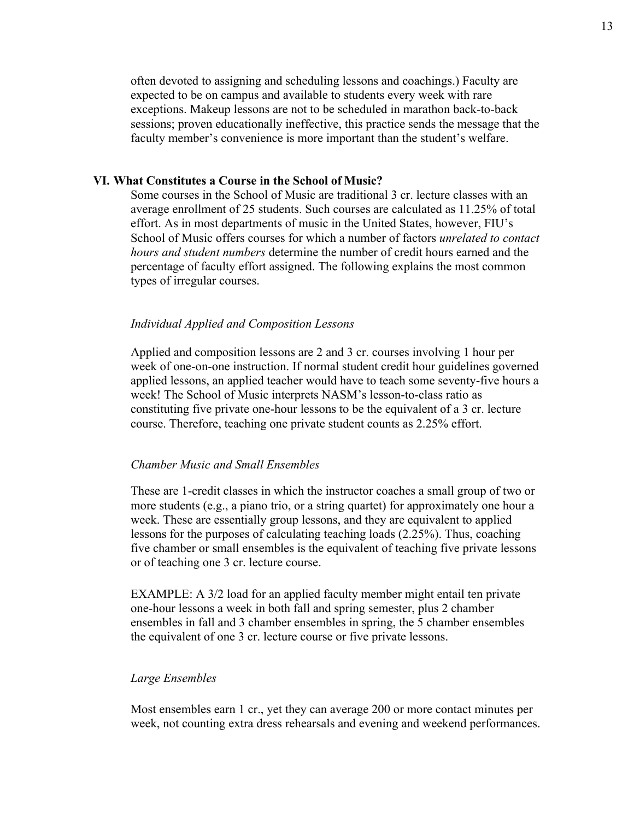often devoted to assigning and scheduling lessons and coachings.) Faculty are expected to be on campus and available to students every week with rare exceptions. Makeup lessons are not to be scheduled in marathon back-to-back sessions; proven educationally ineffective, this practice sends the message that the faculty member's convenience is more important than the student's welfare.

#### **VI. What Constitutes a Course in the School of Music?**

Some courses in the School of Music are traditional 3 cr. lecture classes with an average enrollment of 25 students. Such courses are calculated as 11.25% of total effort. As in most departments of music in the United States, however, FIU's School of Music offers courses for which a number of factors *unrelated to contact hours and student numbers* determine the number of credit hours earned and the percentage of faculty effort assigned. The following explains the most common types of irregular courses.

#### *Individual Applied and Composition Lessons*

Applied and composition lessons are 2 and 3 cr. courses involving 1 hour per week of one-on-one instruction. If normal student credit hour guidelines governed applied lessons, an applied teacher would have to teach some seventy-five hours a week! The School of Music interprets NASM's lesson-to-class ratio as constituting five private one-hour lessons to be the equivalent of a 3 cr. lecture course. Therefore, teaching one private student counts as 2.25% effort.

#### *Chamber Music and Small Ensembles*

These are 1-credit classes in which the instructor coaches a small group of two or more students (e.g., a piano trio, or a string quartet) for approximately one hour a week. These are essentially group lessons, and they are equivalent to applied lessons for the purposes of calculating teaching loads (2.25%). Thus, coaching five chamber or small ensembles is the equivalent of teaching five private lessons or of teaching one 3 cr. lecture course.

EXAMPLE: A 3/2 load for an applied faculty member might entail ten private one-hour lessons a week in both fall and spring semester, plus 2 chamber ensembles in fall and 3 chamber ensembles in spring, the 5 chamber ensembles the equivalent of one 3 cr. lecture course or five private lessons.

### *Large Ensembles*

Most ensembles earn 1 cr., yet they can average 200 or more contact minutes per week, not counting extra dress rehearsals and evening and weekend performances.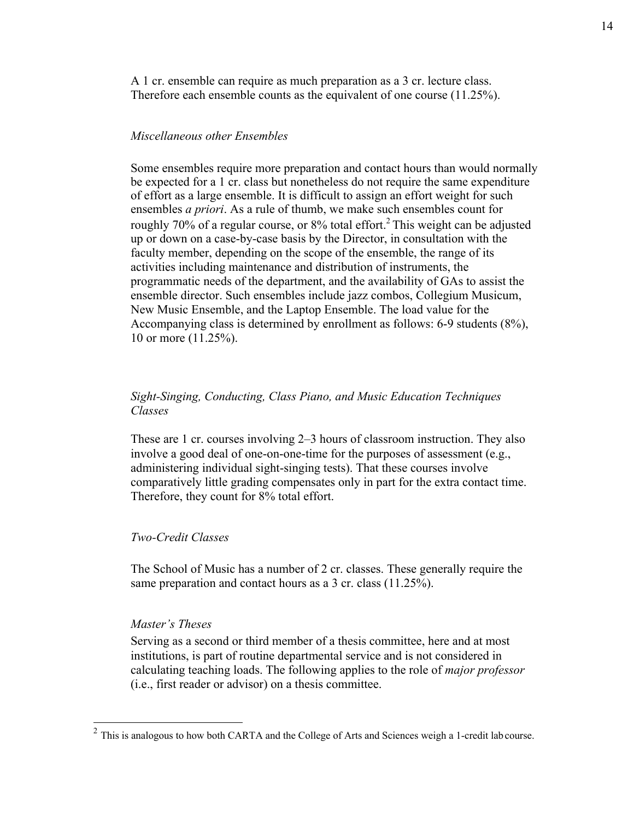A 1 cr. ensemble can require as much preparation as a 3 cr. lecture class. Therefore each ensemble counts as the equivalent of one course (11.25%).

#### *Miscellaneous other Ensembles*

Some ensembles require more preparation and contact hours than would normally be expected for a 1 cr. class but nonetheless do not require the same expenditure of effort as a large ensemble. It is difficult to assign an effort weight for such ensembles *a priori*. As a rule of thumb, we make such ensembles count for roughly 70% of a regular course, or 8% total effort.<sup>2</sup> This weight can be adjusted up or down on a case-by-case basis by the Director, in consultation with the faculty member, depending on the scope of the ensemble, the range of its activities including maintenance and distribution of instruments, the programmatic needs of the department, and the availability of GAs to assist the ensemble director. Such ensembles include jazz combos, Collegium Musicum, New Music Ensemble, and the Laptop Ensemble. The load value for the Accompanying class is determined by enrollment as follows: 6-9 students (8%), 10 or more (11.25%).

## *Sight-Singing, Conducting, Class Piano, and Music Education Techniques Classes*

These are 1 cr. courses involving 2–3 hours of classroom instruction. They also involve a good deal of one-on-one-time for the purposes of assessment (e.g., administering individual sight-singing tests). That these courses involve comparatively little grading compensates only in part for the extra contact time. Therefore, they count for 8% total effort.

#### *Two-Credit Classes*

The School of Music has a number of 2 cr. classes. These generally require the same preparation and contact hours as a 3 cr. class (11.25%).

#### *Master's Theses*

Serving as a second or third member of a thesis committee, here and at most institutions, is part of routine departmental service and is not considered in calculating teaching loads. The following applies to the role of *major professor*  (i.e., first reader or advisor) on a thesis committee.

 $2$  This is analogous to how both CARTA and the College of Arts and Sciences weigh a 1-credit lab course.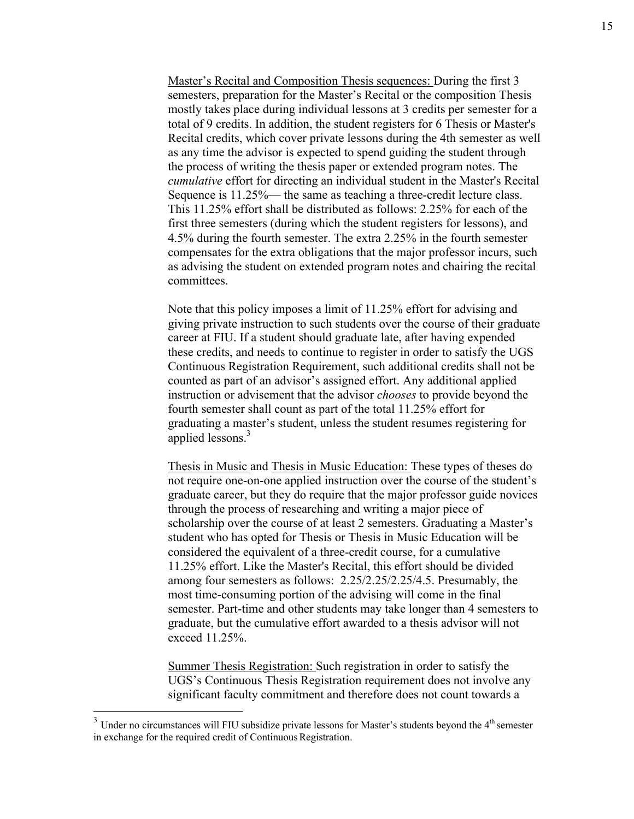Master's Recital and Composition Thesis sequences: During the first 3 semesters, preparation for the Master's Recital or the composition Thesis mostly takes place during individual lessons at 3 credits per semester for a total of 9 credits. In addition, the student registers for 6 Thesis or Master's Recital credits, which cover private lessons during the 4th semester as well as any time the advisor is expected to spend guiding the student through the process of writing the thesis paper or extended program notes. The *cumulative* effort for directing an individual student in the Master's Recital Sequence is 11.25%— the same as teaching a three-credit lecture class. This 11.25% effort shall be distributed as follows: 2.25% for each of the first three semesters (during which the student registers for lessons), and 4.5% during the fourth semester. The extra 2.25% in the fourth semester compensates for the extra obligations that the major professor incurs, such as advising the student on extended program notes and chairing the recital committees.

Note that this policy imposes a limit of 11.25% effort for advising and giving private instruction to such students over the course of their graduate career at FIU. If a student should graduate late, after having expended these credits, and needs to continue to register in order to satisfy the UGS Continuous Registration Requirement, such additional credits shall not be counted as part of an advisor's assigned effort. Any additional applied instruction or advisement that the advisor *chooses* to provide beyond the fourth semester shall count as part of the total 11.25% effort for graduating a master's student, unless the student resumes registering for applied lessons.<sup>3</sup>

Thesis in Music and Thesis in Music Education: These types of theses do not require one-on-one applied instruction over the course of the student's graduate career, but they do require that the major professor guide novices through the process of researching and writing a major piece of scholarship over the course of at least 2 semesters. Graduating a Master's student who has opted for Thesis or Thesis in Music Education will be considered the equivalent of a three-credit course, for a cumulative 11.25% effort. Like the Master's Recital, this effort should be divided among four semesters as follows: 2.25/2.25/2.25/4.5. Presumably, the most time-consuming portion of the advising will come in the final semester. Part-time and other students may take longer than 4 semesters to graduate, but the cumulative effort awarded to a thesis advisor will not exceed 11.25%.

Summer Thesis Registration: Such registration in order to satisfy the UGS's Continuous Thesis Registration requirement does not involve any significant faculty commitment and therefore does not count towards a

 $3$  Under no circumstances will FIU subsidize private lessons for Master's students beyond the  $4<sup>th</sup>$  semester in exchange for the required credit of Continuous Registration.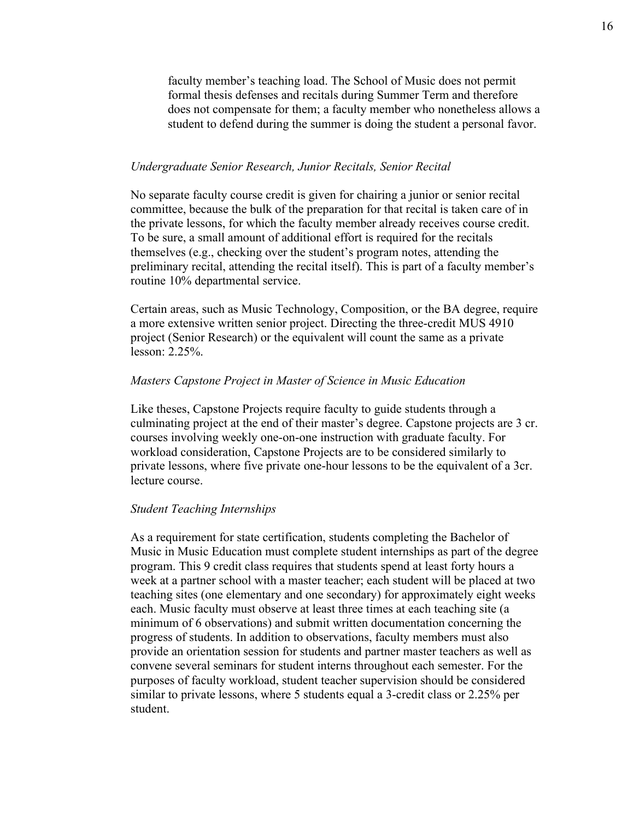faculty member's teaching load. The School of Music does not permit formal thesis defenses and recitals during Summer Term and therefore does not compensate for them; a faculty member who nonetheless allows a student to defend during the summer is doing the student a personal favor.

#### *Undergraduate Senior Research, Junior Recitals, Senior Recital*

No separate faculty course credit is given for chairing a junior or senior recital committee, because the bulk of the preparation for that recital is taken care of in the private lessons, for which the faculty member already receives course credit. To be sure, a small amount of additional effort is required for the recitals themselves (e.g., checking over the student's program notes, attending the preliminary recital, attending the recital itself). This is part of a faculty member's routine 10% departmental service.

Certain areas, such as Music Technology, Composition, or the BA degree, require a more extensive written senior project. Directing the three-credit MUS 4910 project (Senior Research) or the equivalent will count the same as a private lesson: 2.25%.

#### *Masters Capstone Project in Master of Science in Music Education*

Like theses, Capstone Projects require faculty to guide students through a culminating project at the end of their master's degree. Capstone projects are 3 cr. courses involving weekly one-on-one instruction with graduate faculty. For workload consideration, Capstone Projects are to be considered similarly to private lessons, where five private one-hour lessons to be the equivalent of a 3cr. lecture course.

#### *Student Teaching Internships*

As a requirement for state certification, students completing the Bachelor of Music in Music Education must complete student internships as part of the degree program. This 9 credit class requires that students spend at least forty hours a week at a partner school with a master teacher; each student will be placed at two teaching sites (one elementary and one secondary) for approximately eight weeks each. Music faculty must observe at least three times at each teaching site (a minimum of 6 observations) and submit written documentation concerning the progress of students. In addition to observations, faculty members must also provide an orientation session for students and partner master teachers as well as convene several seminars for student interns throughout each semester. For the purposes of faculty workload, student teacher supervision should be considered similar to private lessons, where 5 students equal a 3-credit class or 2.25% per student.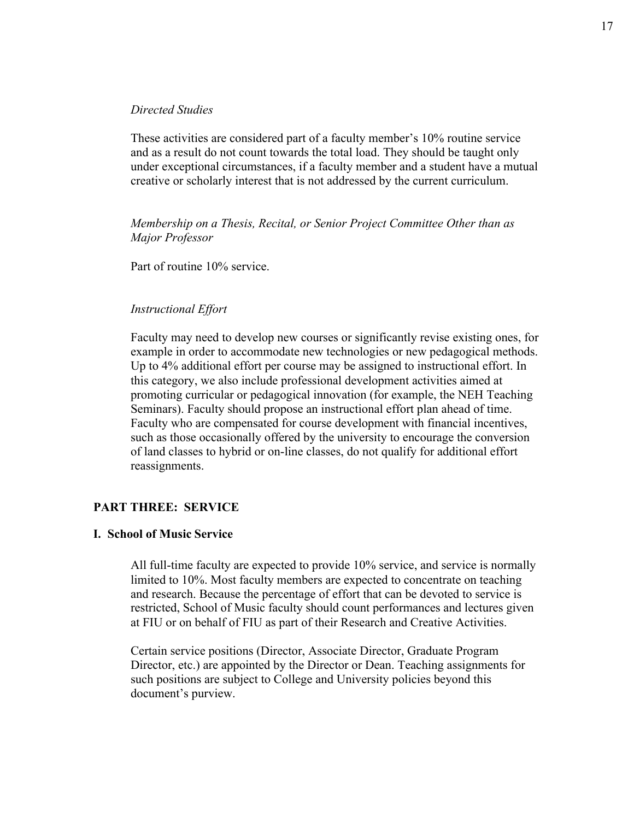#### *Directed Studies*

These activities are considered part of a faculty member's 10% routine service and as a result do not count towards the total load. They should be taught only under exceptional circumstances, if a faculty member and a student have a mutual creative or scholarly interest that is not addressed by the current curriculum.

*Membership on a Thesis, Recital, or Senior Project Committee Other than as Major Professor*

Part of routine 10% service.

## *Instructional Effort*

Faculty may need to develop new courses or significantly revise existing ones, for example in order to accommodate new technologies or new pedagogical methods. Up to 4% additional effort per course may be assigned to instructional effort. In this category, we also include professional development activities aimed at promoting curricular or pedagogical innovation (for example, the NEH Teaching Seminars). Faculty should propose an instructional effort plan ahead of time. Faculty who are compensated for course development with financial incentives, such as those occasionally offered by the university to encourage the conversion of land classes to hybrid or on-line classes, do not qualify for additional effort reassignments.

## **PART THREE: SERVICE**

### **I. School of Music Service**

All full-time faculty are expected to provide 10% service, and service is normally limited to 10%. Most faculty members are expected to concentrate on teaching and research. Because the percentage of effort that can be devoted to service is restricted, School of Music faculty should count performances and lectures given at FIU or on behalf of FIU as part of their Research and Creative Activities.

Certain service positions (Director, Associate Director, Graduate Program Director, etc.) are appointed by the Director or Dean. Teaching assignments for such positions are subject to College and University policies beyond this document's purview.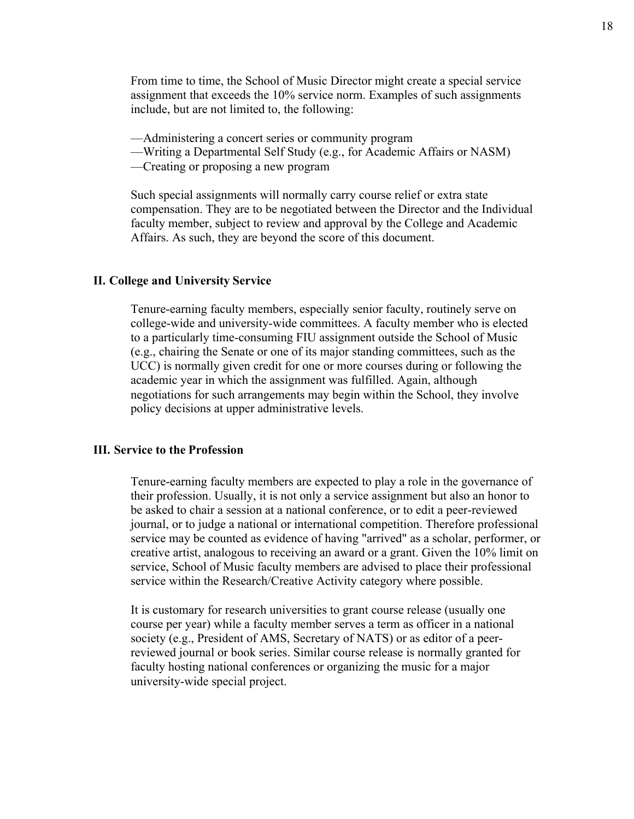From time to time, the School of Music Director might create a special service assignment that exceeds the 10% service norm. Examples of such assignments include, but are not limited to, the following:

- ––Administering a concert series or community program
- ––Writing a Departmental Self Study (e.g., for Academic Affairs or NASM)
- ––Creating or proposing a new program

Such special assignments will normally carry course relief or extra state compensation. They are to be negotiated between the Director and the Individual faculty member, subject to review and approval by the College and Academic Affairs. As such, they are beyond the score of this document.

### **II. College and University Service**

Tenure-earning faculty members, especially senior faculty, routinely serve on college-wide and university-wide committees. A faculty member who is elected to a particularly time-consuming FIU assignment outside the School of Music (e.g., chairing the Senate or one of its major standing committees, such as the UCC) is normally given credit for one or more courses during or following the academic year in which the assignment was fulfilled. Again, although negotiations for such arrangements may begin within the School, they involve policy decisions at upper administrative levels.

### **III. Service to the Profession**

Tenure-earning faculty members are expected to play a role in the governance of their profession. Usually, it is not only a service assignment but also an honor to be asked to chair a session at a national conference, or to edit a peer-reviewed journal, or to judge a national or international competition. Therefore professional service may be counted as evidence of having "arrived" as a scholar, performer, or creative artist, analogous to receiving an award or a grant. Given the 10% limit on service, School of Music faculty members are advised to place their professional service within the Research/Creative Activity category where possible.

It is customary for research universities to grant course release (usually one course per year) while a faculty member serves a term as officer in a national society (e.g., President of AMS, Secretary of NATS) or as editor of a peerreviewed journal or book series. Similar course release is normally granted for faculty hosting national conferences or organizing the music for a major university-wide special project.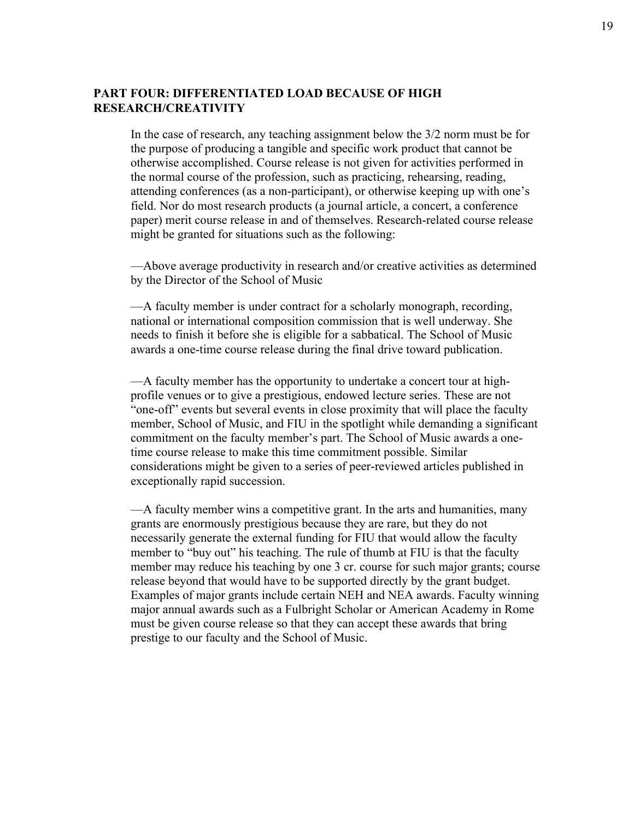## **PART FOUR: DIFFERENTIATED LOAD BECAUSE OF HIGH RESEARCH/CREATIVITY**

In the case of research, any teaching assignment below the 3/2 norm must be for the purpose of producing a tangible and specific work product that cannot be otherwise accomplished. Course release is not given for activities performed in the normal course of the profession, such as practicing, rehearsing, reading, attending conferences (as a non-participant), or otherwise keeping up with one's field. Nor do most research products (a journal article, a concert, a conference paper) merit course release in and of themselves. Research-related course release might be granted for situations such as the following:

—Above average productivity in research and/or creative activities as determined by the Director of the School of Music

––A faculty member is under contract for a scholarly monograph, recording, national or international composition commission that is well underway. She needs to finish it before she is eligible for a sabbatical. The School of Music awards a one-time course release during the final drive toward publication.

––A faculty member has the opportunity to undertake a concert tour at highprofile venues or to give a prestigious, endowed lecture series. These are not "one-off" events but several events in close proximity that will place the faculty member, School of Music, and FIU in the spotlight while demanding a significant commitment on the faculty member's part. The School of Music awards a onetime course release to make this time commitment possible. Similar considerations might be given to a series of peer-reviewed articles published in exceptionally rapid succession.

––A faculty member wins a competitive grant. In the arts and humanities, many grants are enormously prestigious because they are rare, but they do not necessarily generate the external funding for FIU that would allow the faculty member to "buy out" his teaching. The rule of thumb at FIU is that the faculty member may reduce his teaching by one 3 cr. course for such major grants; course release beyond that would have to be supported directly by the grant budget. Examples of major grants include certain NEH and NEA awards. Faculty winning major annual awards such as a Fulbright Scholar or American Academy in Rome must be given course release so that they can accept these awards that bring prestige to our faculty and the School of Music.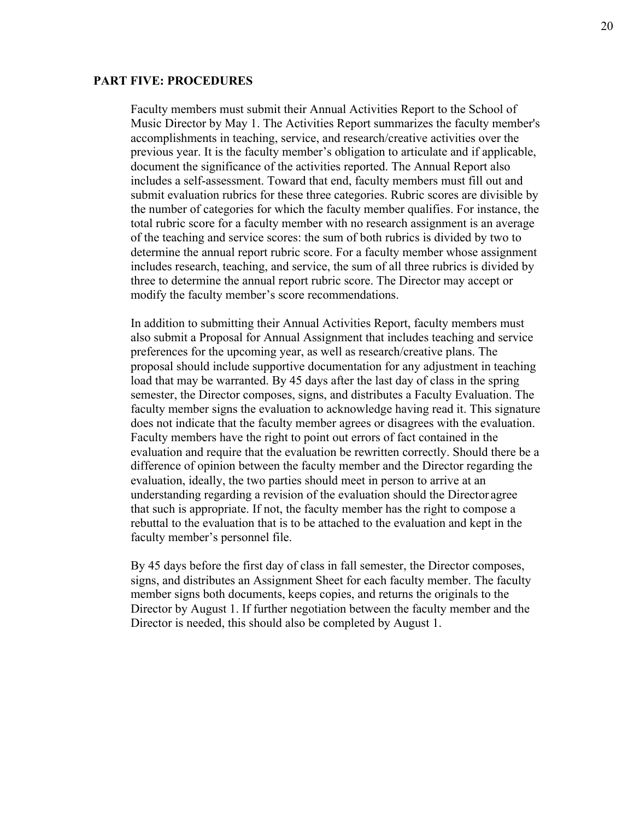#### **PART FIVE: PROCEDURES**

Faculty members must submit their Annual Activities Report to the School of Music Director by May 1. The Activities Report summarizes the faculty member's accomplishments in teaching, service, and research/creative activities over the previous year. It is the faculty member's obligation to articulate and if applicable, document the significance of the activities reported. The Annual Report also includes a self-assessment. Toward that end, faculty members must fill out and submit evaluation rubrics for these three categories. Rubric scores are divisible by the number of categories for which the faculty member qualifies. For instance, the total rubric score for a faculty member with no research assignment is an average of the teaching and service scores: the sum of both rubrics is divided by two to determine the annual report rubric score. For a faculty member whose assignment includes research, teaching, and service, the sum of all three rubrics is divided by three to determine the annual report rubric score. The Director may accept or modify the faculty member's score recommendations.

In addition to submitting their Annual Activities Report, faculty members must also submit a Proposal for Annual Assignment that includes teaching and service preferences for the upcoming year, as well as research/creative plans. The proposal should include supportive documentation for any adjustment in teaching load that may be warranted. By 45 days after the last day of class in the spring semester, the Director composes, signs, and distributes a Faculty Evaluation. The faculty member signs the evaluation to acknowledge having read it. This signature does not indicate that the faculty member agrees or disagrees with the evaluation. Faculty members have the right to point out errors of fact contained in the evaluation and require that the evaluation be rewritten correctly. Should there be a difference of opinion between the faculty member and the Director regarding the evaluation, ideally, the two parties should meet in person to arrive at an understanding regarding a revision of the evaluation should the Director agree that such is appropriate. If not, the faculty member has the right to compose a rebuttal to the evaluation that is to be attached to the evaluation and kept in the faculty member's personnel file.

By 45 days before the first day of class in fall semester, the Director composes, signs, and distributes an Assignment Sheet for each faculty member. The faculty member signs both documents, keeps copies, and returns the originals to the Director by August 1. If further negotiation between the faculty member and the Director is needed, this should also be completed by August 1.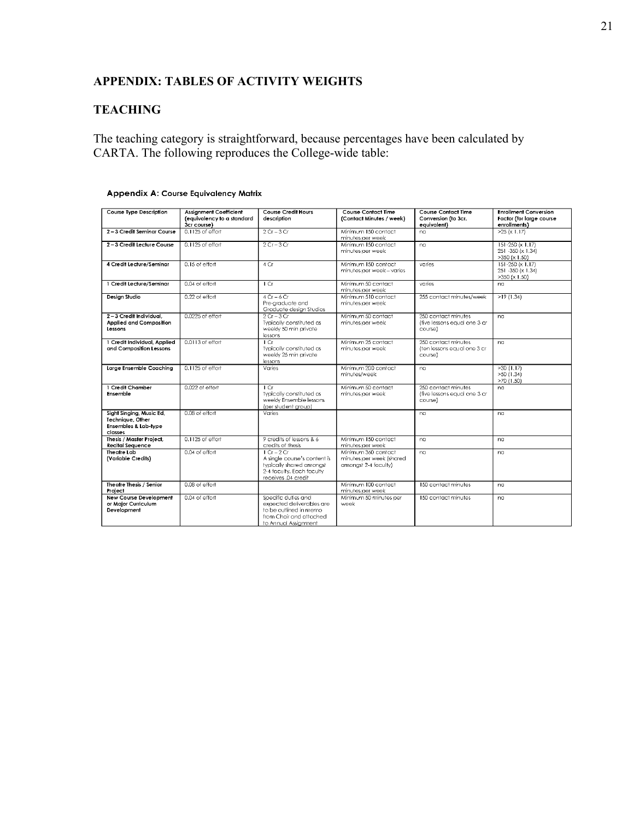# **APPENDIX: TABLES OF ACTIVITY WEIGHTS**

# **TEACHING**

The teaching category is straightforward, because percentages have been calculated by CARTA. The following reproduces the College-wide table:

| <b>Course Type Description</b>                                                  | <b>Assignment Coefficient</b><br>(equivalency to a standard<br>3cr course) | <b>Course Credit Hours</b><br>description                                                                                     | <b>Course Contact Time</b><br>(Contact Minutes / week)                  | <b>Course Contact Time</b><br>Conversion (to 3cr.<br>equivalent) | <b>Enrollment Conversion</b><br>Factor (for large course<br>enrollments) |
|---------------------------------------------------------------------------------|----------------------------------------------------------------------------|-------------------------------------------------------------------------------------------------------------------------------|-------------------------------------------------------------------------|------------------------------------------------------------------|--------------------------------------------------------------------------|
| 2-3 Credit Seminar Course                                                       | $0.1125$ of effort                                                         | $2Cr - 3Cr$                                                                                                                   | Minimum 150 contact<br>minutes per week                                 | na                                                               | $>25$ (x 1.17)                                                           |
| 2-3 Credit Lecture Course                                                       | 0.1125 of effort                                                           | $2Cr-3Cr$                                                                                                                     | Minimum 150 contact<br>minutes per week                                 | na                                                               | 151-250 (x 1.17)<br>251 -350 (x 1.34)<br>$>350$ (x 1.50)                 |
| 4 Credit Lecture/Seminar                                                        | $0.15$ of effort                                                           | 4 Cr                                                                                                                          | Minimum 150 contact<br>minutes per week - varies                        | varies                                                           | 151-250 (x 1.17)<br>251 -350 (x 1.34)<br>$>350$ (x 1.50)                 |
| 1 Credit Lecture/Seminar                                                        | 0.04 of effort                                                             | $1$ Cr                                                                                                                        | Minimum 50 contact<br>minutes per week                                  | varies                                                           | na                                                                       |
| Design Studio                                                                   | 0.22 of effort                                                             | $4Cr - 6Cr$<br>Pre-graduate and<br>Graduate design Studios                                                                    | Minimum 510 contact<br>minutes per week                                 | 255 contact minutes/week                                         | >19(1.34)                                                                |
| 2-3 Credit Individual.<br><b>Applied and Composition</b><br>Lessons             | 0.0225 of effort                                                           | $2Cr-3Cr$<br>Typically constituted as<br>weekly 50 min private<br>lessons                                                     | Minimum 50 contact<br>minutes per week                                  | 250 contact minutes<br>(five lessons equal one 3 cr<br>coursel   | na                                                                       |
| 1 Credit Individual, Applied<br>and Composition Lessons                         | 0.0113 of effort                                                           | $1$ Cr<br>Typically constituted as<br>weekly 25 min private<br>lessons                                                        | Minimum 25 contact<br>minutes per week                                  | 250 contact minutes<br>(ten lessons equal one 3 cr<br>course)    | na                                                                       |
| Large Ensemble Coaching                                                         | $0.1125$ of effort                                                         | Varies                                                                                                                        | Minimum 200 contact<br>minutes/week                                     | na                                                               | >30(1.17)<br>>50(1.34)<br>$>70$ (1.50)                                   |
| 1 Credit Chamber<br>Ensemble                                                    | $0.022$ of effort                                                          | 1Cr<br>Typically constituted as<br>weekly Ensemble lessons<br>(per student group)                                             | Minimum 50 contact<br>minutes per week                                  | 250 contact minutes<br>(five lessons equal one 3 cr<br>course)   | na                                                                       |
| Sight Singing, Music Ed,<br>Technique, Other<br>Ensembles & Lab-type<br>classes | 0.08 of effort                                                             | Varies                                                                                                                        |                                                                         | na                                                               | na                                                                       |
| Thesis / Master Project.<br>Recital Sequence                                    | 0.1125 of effort                                                           | 9 credits of lessons & 6<br>credits of thesis                                                                                 | Minimum 150 contact<br>minutes per week                                 | na                                                               | na                                                                       |
| Theatre Lab<br>(Variable Credits)                                               | 0.04 of effort                                                             | $1 Cr - 2 Cr$<br>A single course's content is<br>typically shared amonast<br>2-4 faculty. Each faculty<br>receives .04 credit | Minimum 360 contact<br>minutes per week (shared<br>amongst 2-4 faculty) | na                                                               | na                                                                       |
| Theatre Thesis / Senior<br>Project                                              | 0.08 of effort                                                             |                                                                                                                               | Minimum 100 contact<br>minutes per week                                 | 150 contact minutes                                              | na                                                                       |
| <b>New Course Development</b><br>or Maior Curriculum<br>Development             | 0.04 of effort                                                             | Specific duties and<br>expected deliverables are<br>to be outlined in memo<br>from Chair and attached<br>to Annual Assianment | Minimum 50 minutes per<br>week                                          | 150 contact minutes                                              | na                                                                       |

#### **Appendix A: Course Equivalency Matrix**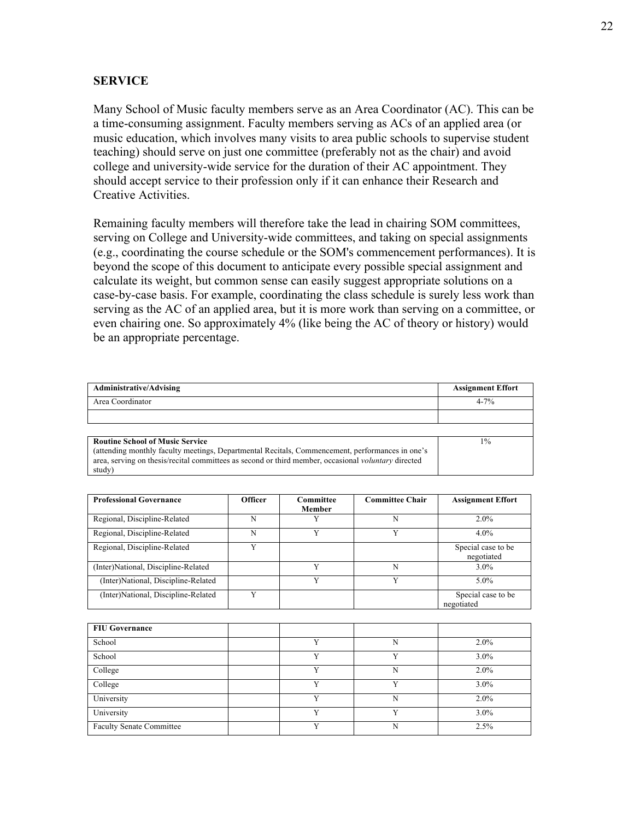### **SERVICE**

Many School of Music faculty members serve as an Area Coordinator (AC). This can be a time-consuming assignment. Faculty members serving as ACs of an applied area (or music education, which involves many visits to area public schools to supervise student teaching) should serve on just one committee (preferably not as the chair) and avoid college and university-wide service for the duration of their AC appointment. They should accept service to their profession only if it can enhance their Research and Creative Activities.

Remaining faculty members will therefore take the lead in chairing SOM committees, serving on College and University-wide committees, and taking on special assignments (e.g., coordinating the course schedule or the SOM's commencement performances). It is beyond the scope of this document to anticipate every possible special assignment and calculate its weight, but common sense can easily suggest appropriate solutions on a case-by-case basis. For example, coordinating the class schedule is surely less work than serving as the AC of an applied area, but it is more work than serving on a committee, or even chairing one. So approximately 4% (like being the AC of theory or history) would be an appropriate percentage.

| Administrative/Advising                                                                                    | <b>Assignment Effort</b> |
|------------------------------------------------------------------------------------------------------------|--------------------------|
| Area Coordinator                                                                                           | $4 - 7\%$                |
|                                                                                                            |                          |
|                                                                                                            |                          |
| <b>Routine School of Music Service</b>                                                                     | $1\%$                    |
| (attending monthly faculty meetings, Departmental Recitals, Commencement, performances in one's            |                          |
| area, serving on thesis/recital committees as second or third member, occasional <i>voluntary</i> directed |                          |
| study)                                                                                                     |                          |

| <b>Professional Governance</b>      | Officer | Committee<br>Member | <b>Committee Chair</b> | <b>Assignment Effort</b>         |
|-------------------------------------|---------|---------------------|------------------------|----------------------------------|
| Regional, Discipline-Related        | N       |                     | N                      | $2.0\%$                          |
| Regional, Discipline-Related        | N       |                     |                        | $4.0\%$                          |
| Regional, Discipline-Related        |         |                     |                        | Special case to be<br>negotiated |
| (Inter)National, Discipline-Related |         |                     | N                      | $3.0\%$                          |
| (Inter)National, Discipline-Related |         | v                   | v                      | $5.0\%$                          |
| (Inter)National, Discipline-Related | v       |                     |                        | Special case to be<br>negotiated |

| <b>FIU Governance</b>           |              |   |         |
|---------------------------------|--------------|---|---------|
| School                          |              | N | $2.0\%$ |
| School                          |              |   | $3.0\%$ |
| College                         |              | N | $2.0\%$ |
| College                         | $\mathbf{v}$ |   | $3.0\%$ |
| University                      |              | N | $2.0\%$ |
| University                      |              |   | $3.0\%$ |
| <b>Faculty Senate Committee</b> |              | N | 2.5%    |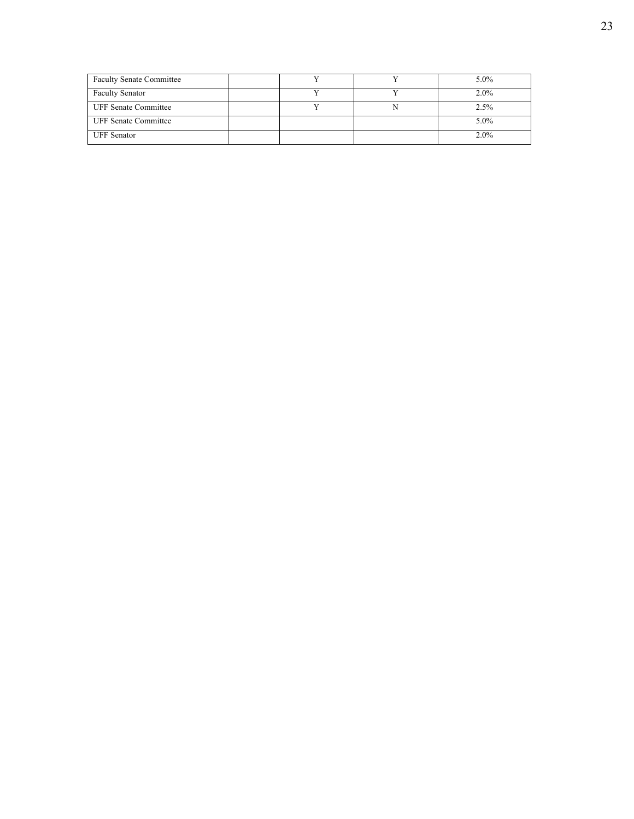| <b>Faculty Senate Committee</b> |  | $5.0\%$ |
|---------------------------------|--|---------|
| <b>Faculty Senator</b>          |  | $2.0\%$ |
| <b>UFF Senate Committee</b>     |  | 2.5%    |
| <b>UFF Senate Committee</b>     |  | 5.0%    |
| <b>UFF</b> Senator              |  | $2.0\%$ |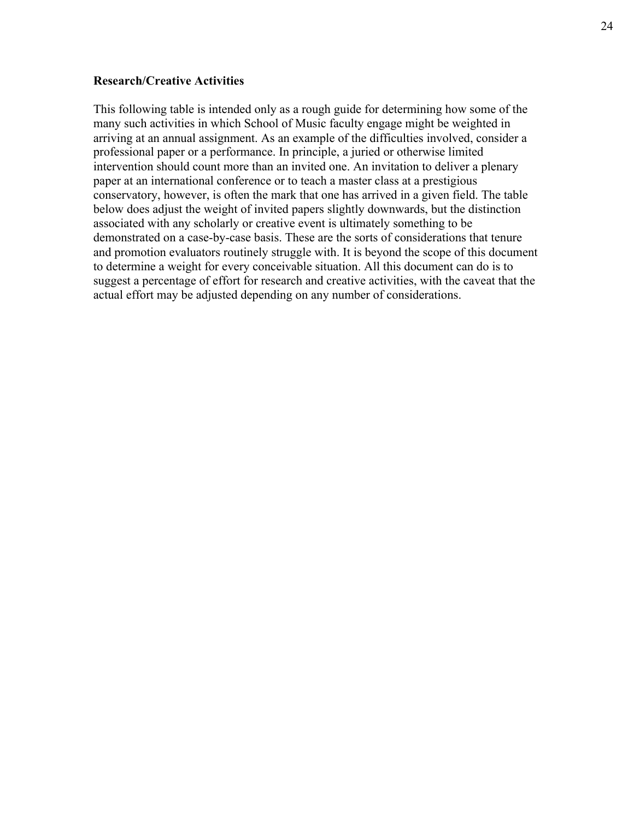### **Research/Creative Activities**

This following table is intended only as a rough guide for determining how some of the many such activities in which School of Music faculty engage might be weighted in arriving at an annual assignment. As an example of the difficulties involved, consider a professional paper or a performance. In principle, a juried or otherwise limited intervention should count more than an invited one. An invitation to deliver a plenary paper at an international conference or to teach a master class at a prestigious conservatory, however, is often the mark that one has arrived in a given field. The table below does adjust the weight of invited papers slightly downwards, but the distinction associated with any scholarly or creative event is ultimately something to be demonstrated on a case-by-case basis. These are the sorts of considerations that tenure and promotion evaluators routinely struggle with. It is beyond the scope of this document to determine a weight for every conceivable situation. All this document can do is to suggest a percentage of effort for research and creative activities, with the caveat that the actual effort may be adjusted depending on any number of considerations.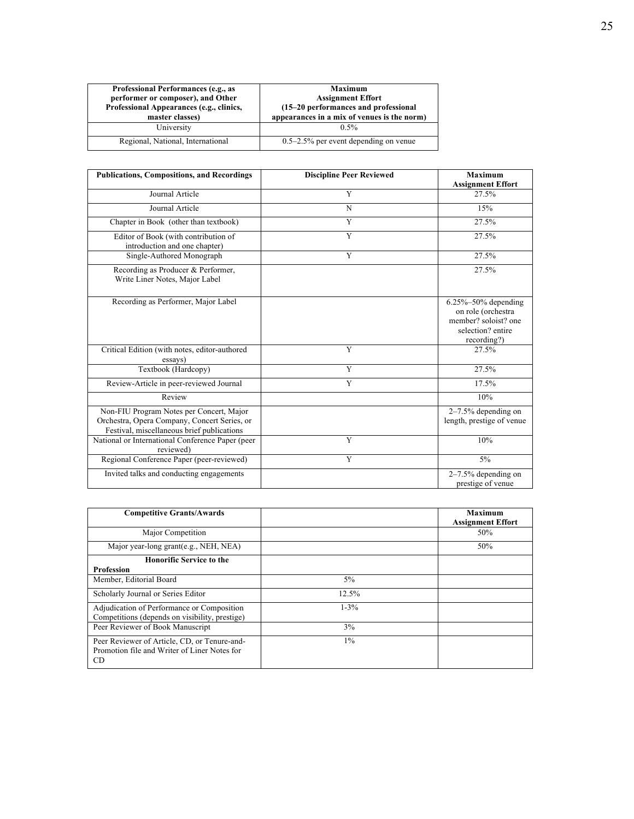| Professional Performances (e.g., as<br>performer or composer), and Other<br>Professional Appearances (e.g., clinics,<br>master classes) | <b>Maximum</b><br><b>Assignment Effort</b><br>(15-20 performances and professional<br>appearances in a mix of venues is the norm) |
|-----------------------------------------------------------------------------------------------------------------------------------------|-----------------------------------------------------------------------------------------------------------------------------------|
| University                                                                                                                              | $0.5\%$                                                                                                                           |
| Regional, National, International                                                                                                       | $0.5-2.5\%$ per event depending on venue                                                                                          |

| <b>Publications, Compositions, and Recordings</b>                                                                                      | <b>Discipline Peer Reviewed</b> | <b>Maximum</b><br><b>Assignment Effort</b>                                                                  |
|----------------------------------------------------------------------------------------------------------------------------------------|---------------------------------|-------------------------------------------------------------------------------------------------------------|
| Journal Article                                                                                                                        | Y                               | 27.5%                                                                                                       |
| Journal Article                                                                                                                        | N                               | 15%                                                                                                         |
| Chapter in Book (other than textbook)                                                                                                  | Y                               | 27.5%                                                                                                       |
| Editor of Book (with contribution of<br>introduction and one chapter)                                                                  | Y                               | 27.5%                                                                                                       |
| Single-Authored Monograph                                                                                                              | Y                               | 27.5%                                                                                                       |
| Recording as Producer & Performer,<br>Write Liner Notes, Major Label                                                                   |                                 | 27.5%                                                                                                       |
| Recording as Performer, Major Label                                                                                                    |                                 | $6.25\% - 50\%$ depending<br>on role (orchestra<br>member? soloist? one<br>selection? entire<br>recording?) |
| Critical Edition (with notes, editor-authored<br>essays)                                                                               | Y                               | 27.5%                                                                                                       |
| Textbook (Hardcopy)                                                                                                                    | $\overline{Y}$                  | 27.5%                                                                                                       |
| Review-Article in peer-reviewed Journal                                                                                                | Y                               | 17.5%                                                                                                       |
| Review                                                                                                                                 |                                 | 10%                                                                                                         |
| Non-FIU Program Notes per Concert, Major<br>Orchestra, Opera Company, Concert Series, or<br>Festival, miscellaneous brief publications |                                 | $2-7.5%$ depending on<br>length, prestige of venue                                                          |
| National or International Conference Paper (peer<br>reviewed)                                                                          | $\overline{Y}$                  | 10%                                                                                                         |
| Regional Conference Paper (peer-reviewed)                                                                                              | $\overline{Y}$                  | $5\%$                                                                                                       |
| Invited talks and conducting engagements                                                                                               |                                 | $2-7.5%$ depending on<br>prestige of venue                                                                  |

| <b>Competitive Grants/Awards</b>                                                                   |           | Maximum<br><b>Assignment Effort</b> |
|----------------------------------------------------------------------------------------------------|-----------|-------------------------------------|
| Major Competition                                                                                  |           | 50%                                 |
| Major year-long grant(e.g., NEH, NEA)                                                              |           | 50%                                 |
| <b>Honorific Service to the</b><br><b>Profession</b>                                               |           |                                     |
| Member, Editorial Board                                                                            | 5%        |                                     |
| Scholarly Journal or Series Editor                                                                 | 12.5%     |                                     |
| Adjudication of Performance or Composition<br>Competitions (depends on visibility, prestige)       | $1 - 3\%$ |                                     |
| Peer Reviewer of Book Manuscript                                                                   | 3%        |                                     |
| Peer Reviewer of Article, CD, or Tenure-and-<br>Promotion file and Writer of Liner Notes for<br>CD | $1\%$     |                                     |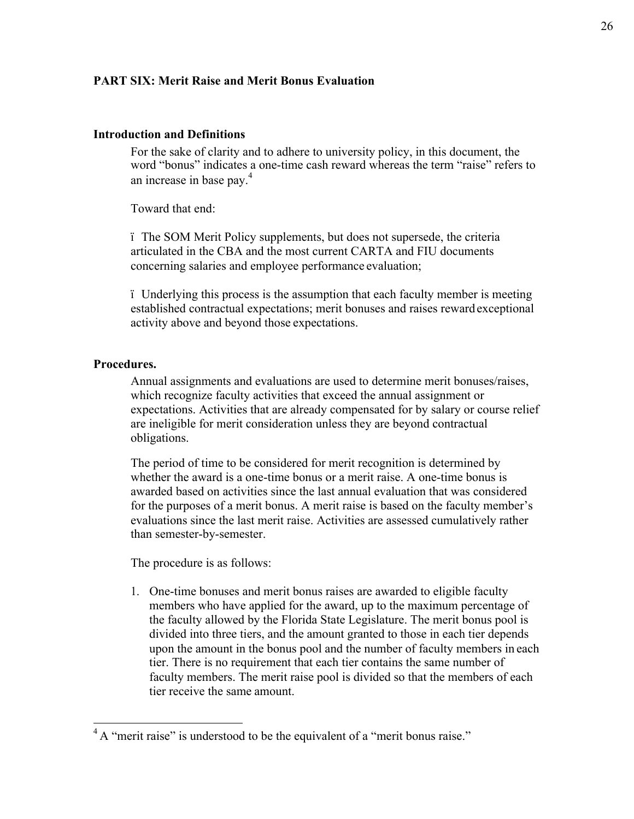### **PART SIX: Merit Raise and Merit Bonus Evaluation**

#### **Introduction and Definitions**

For the sake of clarity and to adhere to university policy, in this document, the word "bonus" indicates a one-time cash reward whereas the term "raise" refers to an increase in base pay.<sup>4</sup>

Toward that end:

ï The SOM Merit Policy supplements, but does not supersede, the criteria articulated in the CBA and the most current CARTA and FIU documents concerning salaries and employee performance evaluation;

ï Underlying this process is the assumption that each faculty member is meeting established contractual expectations; merit bonuses and raises reward exceptional activity above and beyond those expectations.

### **Procedures.**

Annual assignments and evaluations are used to determine merit bonuses/raises, which recognize faculty activities that exceed the annual assignment or expectations. Activities that are already compensated for by salary or course relief are ineligible for merit consideration unless they are beyond contractual obligations.

The period of time to be considered for merit recognition is determined by whether the award is a one-time bonus or a merit raise. A one-time bonus is awarded based on activities since the last annual evaluation that was considered for the purposes of a merit bonus. A merit raise is based on the faculty member's evaluations since the last merit raise. Activities are assessed cumulatively rather than semester-by-semester.

The procedure is as follows:

1. One-time bonuses and merit bonus raises are awarded to eligible faculty members who have applied for the award, up to the maximum percentage of the faculty allowed by the Florida State Legislature. The merit bonus pool is divided into three tiers, and the amount granted to those in each tier depends upon the amount in the bonus pool and the number of faculty members in each tier. There is no requirement that each tier contains the same number of faculty members. The merit raise pool is divided so that the members of each tier receive the same amount.

 $4A$  "merit raise" is understood to be the equivalent of a "merit bonus raise."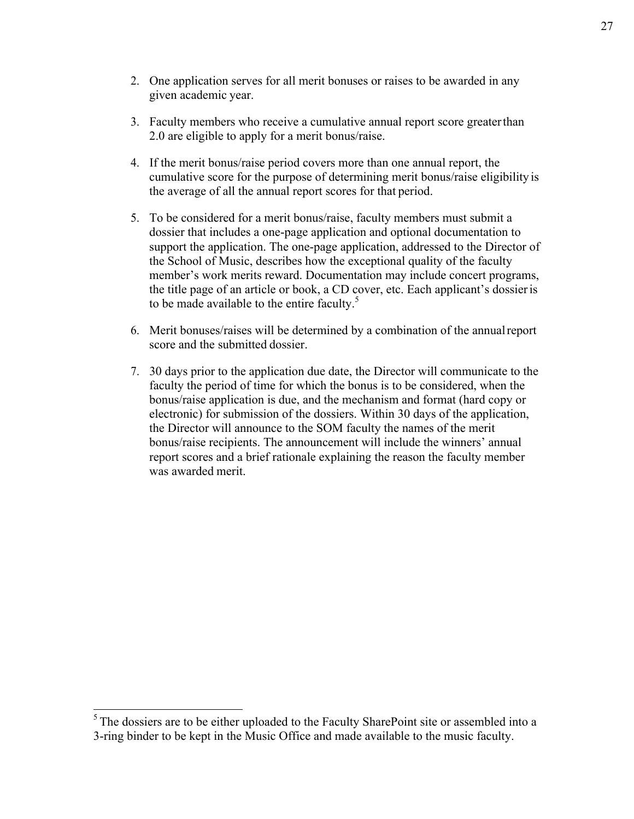- 2. One application serves for all merit bonuses or raises to be awarded in any given academic year.
- 3. Faculty members who receive a cumulative annual report score greaterthan 2.0 are eligible to apply for a merit bonus/raise.
- 4. If the merit bonus/raise period covers more than one annual report, the cumulative score for the purpose of determining merit bonus/raise eligibility is the average of all the annual report scores for that period.
- 5. To be considered for a merit bonus/raise, faculty members must submit a dossier that includes a one-page application and optional documentation to support the application. The one-page application, addressed to the Director of the School of Music, describes how the exceptional quality of the faculty member's work merits reward. Documentation may include concert programs, the title page of an article or book, a CD cover, etc. Each applicant's dossieris to be made available to the entire faculty.<sup>5</sup>
- 6. Merit bonuses/raises will be determined by a combination of the annualreport score and the submitted dossier.
- 7. 30 days prior to the application due date, the Director will communicate to the faculty the period of time for which the bonus is to be considered, when the bonus/raise application is due, and the mechanism and format (hard copy or electronic) for submission of the dossiers. Within 30 days of the application, the Director will announce to the SOM faculty the names of the merit bonus/raise recipients. The announcement will include the winners' annual report scores and a brief rationale explaining the reason the faculty member was awarded merit.

<sup>&</sup>lt;sup>5</sup> The dossiers are to be either uploaded to the Faculty SharePoint site or assembled into a 3-ring binder to be kept in the Music Office and made available to the music faculty.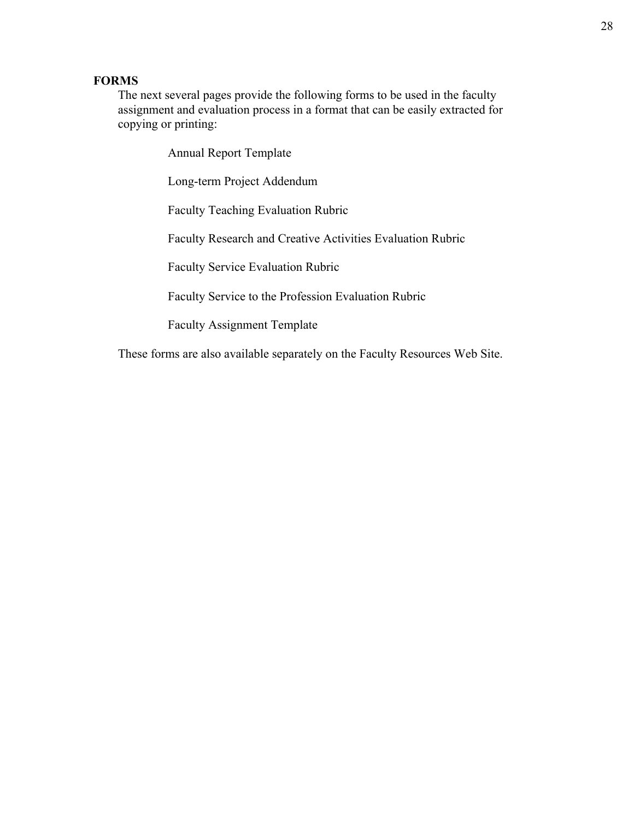## **FORMS**

The next several pages provide the following forms to be used in the faculty assignment and evaluation process in a format that can be easily extracted for copying or printing:

Annual Report Template

Long-term Project Addendum

Faculty Teaching Evaluation Rubric

Faculty Research and Creative Activities Evaluation Rubric

Faculty Service Evaluation Rubric

Faculty Service to the Profession Evaluation Rubric

Faculty Assignment Template

These forms are also available separately on the Faculty Resources Web Site.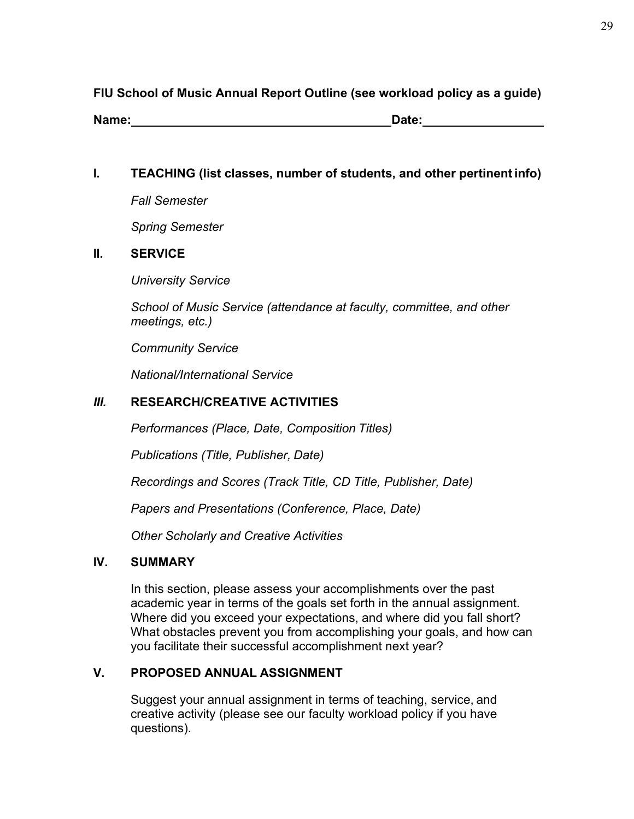# **FIU School of Music Annual Report Outline (see workload policy as a guide)**

**Name: Date:**

**I. TEACHING (list classes, number of students, and other pertinentinfo)**

*Fall Semester* 

*Spring Semester*

# **II. SERVICE**

*University Service*

*School of Music Service (attendance at faculty, committee, and other meetings, etc.)*

*Community Service* 

*National/International Service*

# *III.* **RESEARCH/CREATIVE ACTIVITIES**

*Performances (Place, Date, Composition Titles)* 

*Publications (Title, Publisher, Date)*

*Recordings and Scores (Track Title, CD Title, Publisher, Date)* 

*Papers and Presentations (Conference, Place, Date)*

*Other Scholarly and Creative Activities*

# **IV. SUMMARY**

In this section, please assess your accomplishments over the past academic year in terms of the goals set forth in the annual assignment. Where did you exceed your expectations, and where did you fall short? What obstacles prevent you from accomplishing your goals, and how can you facilitate their successful accomplishment next year?

# **V. PROPOSED ANNUAL ASSIGNMENT**

Suggest your annual assignment in terms of teaching, service, and creative activity (please see our faculty workload policy if you have questions).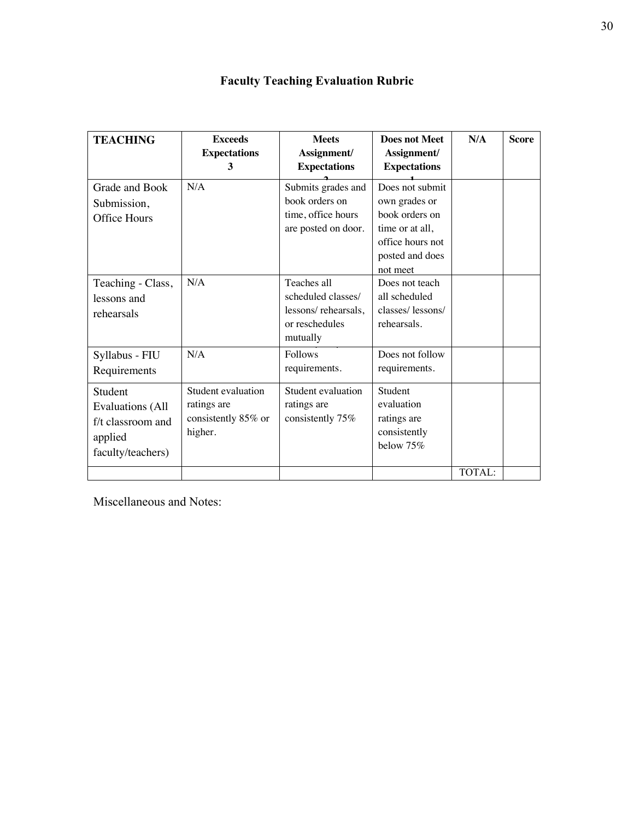| <b>TEACHING</b>                                                                         | <b>Exceeds</b><br><b>Expectations</b><br>3                          | <b>Meets</b><br>Assignment/<br><b>Expectations</b>                                     | <b>Does not Meet</b><br>Assignment/<br><b>Expectations</b>                                                               | N/A    | <b>Score</b> |
|-----------------------------------------------------------------------------------------|---------------------------------------------------------------------|----------------------------------------------------------------------------------------|--------------------------------------------------------------------------------------------------------------------------|--------|--------------|
| Grade and Book<br>Submission,<br>Office Hours                                           | N/A                                                                 | Submits grades and<br>book orders on<br>time, office hours<br>are posted on door.      | Does not submit<br>own grades or<br>book orders on<br>time or at all,<br>office hours not<br>posted and does<br>not meet |        |              |
| Teaching - Class,<br>lessons and<br>rehearsals                                          | N/A                                                                 | Teaches all<br>scheduled classes/<br>lessons/rehearsals,<br>or reschedules<br>mutually | Does not teach<br>all scheduled<br>classes/lessons/<br>rehearsals.                                                       |        |              |
| Syllabus - FIU<br>Requirements                                                          | N/A                                                                 | <b>Follows</b><br>requirements.                                                        | Does not follow<br>requirements.                                                                                         |        |              |
| Student<br><b>Evaluations (All</b><br>f/t classroom and<br>applied<br>faculty/teachers) | Student evaluation<br>ratings are<br>consistently 85% or<br>higher. | Student evaluation<br>ratings are<br>consistently 75%                                  | Student<br>evaluation<br>ratings are<br>consistently<br>below 75%                                                        |        |              |
|                                                                                         |                                                                     |                                                                                        |                                                                                                                          | TOTAL: |              |

Miscellaneous and Notes: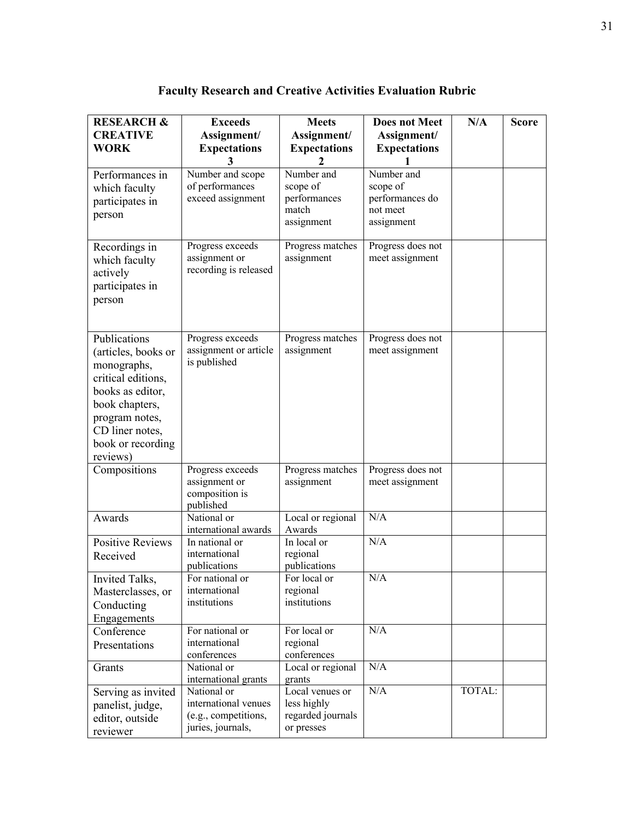**Faculty Research and Creative Activities Evaluation Rubric**

| <b>RESEARCH &amp;</b>                                                                                                                                                                | <b>Exceeds</b>                                                                   | <b>Meets</b>                                                      | <b>Does not Meet</b>                                                | N/A    | <b>Score</b> |
|--------------------------------------------------------------------------------------------------------------------------------------------------------------------------------------|----------------------------------------------------------------------------------|-------------------------------------------------------------------|---------------------------------------------------------------------|--------|--------------|
| <b>CREATIVE</b>                                                                                                                                                                      | Assignment/                                                                      | Assignment/                                                       | Assignment/                                                         |        |              |
| <b>WORK</b>                                                                                                                                                                          | <b>Expectations</b>                                                              | <b>Expectations</b>                                               | <b>Expectations</b>                                                 |        |              |
|                                                                                                                                                                                      | 3                                                                                |                                                                   |                                                                     |        |              |
| Performances in<br>which faculty<br>participates in<br>person                                                                                                                        | Number and scope<br>of performances<br>exceed assignment                         | Number and<br>scope of<br>performances<br>match<br>assignment     | Number and<br>scope of<br>performances do<br>not meet<br>assignment |        |              |
| Recordings in<br>which faculty<br>actively<br>participates in<br>person                                                                                                              | Progress exceeds<br>assignment or<br>recording is released                       | Progress matches<br>assignment                                    | Progress does not<br>meet assignment                                |        |              |
| Publications<br>(articles, books or<br>monographs,<br>critical editions,<br>books as editor,<br>book chapters,<br>program notes,<br>CD liner notes,<br>book or recording<br>reviews) | Progress exceeds<br>assignment or article<br>is published                        | Progress matches<br>assignment                                    | Progress does not<br>meet assignment                                |        |              |
| Compositions                                                                                                                                                                         | Progress exceeds<br>assignment or<br>composition is<br>published                 | Progress matches<br>assignment                                    | Progress does not<br>meet assignment                                |        |              |
| Awards                                                                                                                                                                               | National or<br>international awards                                              | Local or regional<br>Awards                                       | N/A                                                                 |        |              |
| <b>Positive Reviews</b><br>Received                                                                                                                                                  | In national or<br>international<br>publications                                  | In local or<br>regional<br>publications                           | N/A                                                                 |        |              |
| Invited Talks,<br>Masterclasses, or<br>Conducting<br>Engagements                                                                                                                     | For national or<br>international<br>institutions                                 | For local or<br>regional<br>institutions                          | N/A                                                                 |        |              |
| Conference<br>Presentations                                                                                                                                                          | For national or<br>international<br>conferences                                  | For local or<br>regional<br>conferences                           | N/A                                                                 |        |              |
| Grants                                                                                                                                                                               | National or<br>international grants                                              | Local or regional<br>grants                                       | N/A                                                                 |        |              |
| Serving as invited<br>panelist, judge,<br>editor, outside<br>reviewer                                                                                                                | National or<br>international venues<br>(e.g., competitions,<br>juries, journals, | Local venues or<br>less highly<br>regarded journals<br>or presses | N/A                                                                 | TOTAL: |              |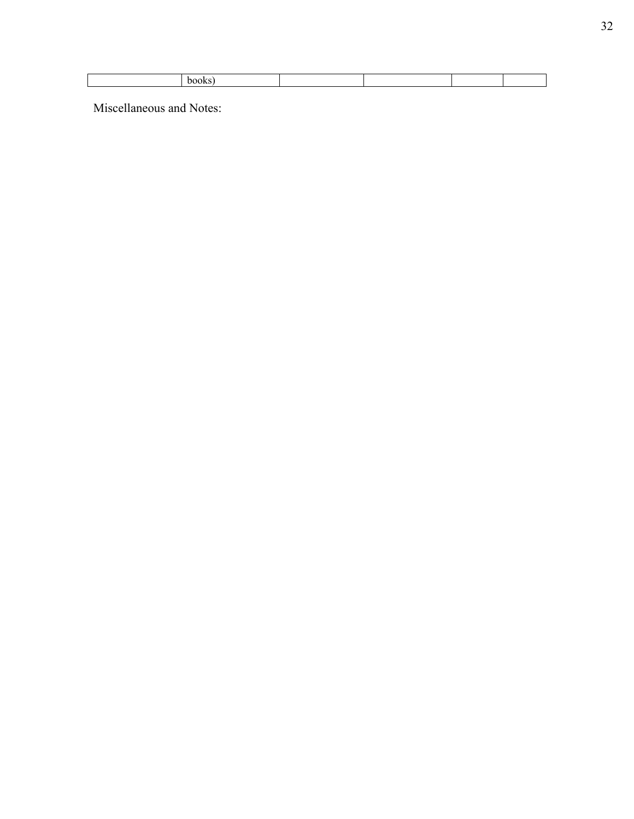Miscellaneous and Notes: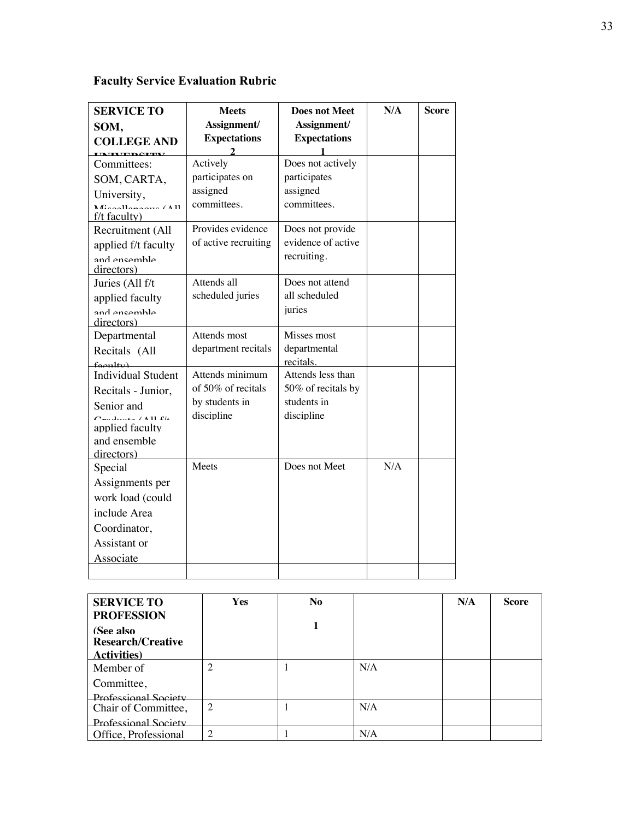|  |  | <b>Faculty Service Evaluation Rubric</b> |  |
|--|--|------------------------------------------|--|
|--|--|------------------------------------------|--|

| <b>SERVICE TO</b>                                          | <b>Meets</b>                 | <b>Does not Meet</b>              | N/A | Score |
|------------------------------------------------------------|------------------------------|-----------------------------------|-----|-------|
| SOM,                                                       | Assignment/                  | Assignment/                       |     |       |
| <b>COLLEGE AND</b>                                         | <b>Expectations</b>          | <b>Expectations</b>               |     |       |
| <b>INIXIDAIRY</b>                                          | $\mathcal{D}_{\mathcal{L}}$  |                                   |     |       |
| Committees:                                                | Actively                     | Does not actively                 |     |       |
| SOM, CARTA,                                                | participates on              | participates                      |     |       |
| University,                                                | assigned                     | assigned                          |     |       |
| $M_{\text{res}}$ llenesus (All<br>$f/t$ faculty)           | committees.                  | committees.                       |     |       |
| Recruitment (All                                           | Provides evidence            | Does not provide                  |     |       |
| applied f/t faculty                                        | of active recruiting         | evidence of active                |     |       |
| and encemble<br>directors)                                 |                              | recruiting.                       |     |       |
| Juries (All f/t                                            | Attends all                  | Does not attend                   |     |       |
| applied faculty                                            | scheduled juries             | all scheduled                     |     |       |
| and encemble                                               |                              | juries                            |     |       |
| directors)                                                 |                              |                                   |     |       |
| Departmental                                               | Attends most                 | Misses most                       |     |       |
| Recitals (All                                              | department recitals          | departmental                      |     |       |
| $f_{\alpha\alpha}$ ultu)                                   | Attends minimum              | recitals.                         |     |       |
| <b>Individual Student</b>                                  | of 50% of recitals           | Attends less than                 |     |       |
| Recitals - Junior,                                         |                              | 50% of recitals by<br>students in |     |       |
| Senior and                                                 | by students in<br>discipline | discipline                        |     |       |
| $C_{\text{max}}$ denote (All $\Omega_k$<br>applied faculty |                              |                                   |     |       |
| and ensemble                                               |                              |                                   |     |       |
| directors)                                                 |                              |                                   |     |       |
| Special                                                    | Meets                        | Does not Meet                     | N/A |       |
| Assignments per                                            |                              |                                   |     |       |
| work load (could                                           |                              |                                   |     |       |
| include Area                                               |                              |                                   |     |       |
| Coordinator,                                               |                              |                                   |     |       |
| Assistant or                                               |                              |                                   |     |       |
| Associate                                                  |                              |                                   |     |       |
|                                                            |                              |                                   |     |       |

| <b>SERVICE TO</b><br><b>PROFESSION</b>                       | <b>Yes</b>     | N <sub>o</sub> |     | N/A | <b>Score</b> |
|--------------------------------------------------------------|----------------|----------------|-----|-----|--------------|
| (See also<br><b>Research/Creative</b><br><b>Activities</b> ) |                |                |     |     |              |
| Member of                                                    | $\overline{c}$ |                | N/A |     |              |
| Committee,                                                   |                |                |     |     |              |
| <b>Professional Society</b>                                  |                |                |     |     |              |
| Chair of Committee,                                          | $\overline{2}$ |                | N/A |     |              |
| Professional Society                                         |                |                |     |     |              |
| Office, Professional                                         | $\overline{2}$ |                | N/A |     |              |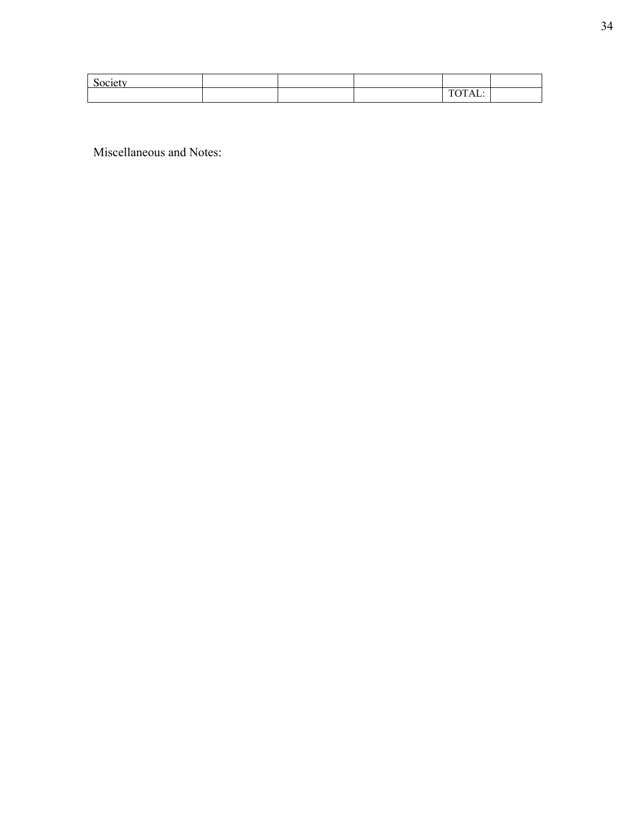| Society |  |                                 |  |
|---------|--|---------------------------------|--|
|         |  | . <del>. .</del> . <del>.</del> |  |

Miscellaneous and Notes: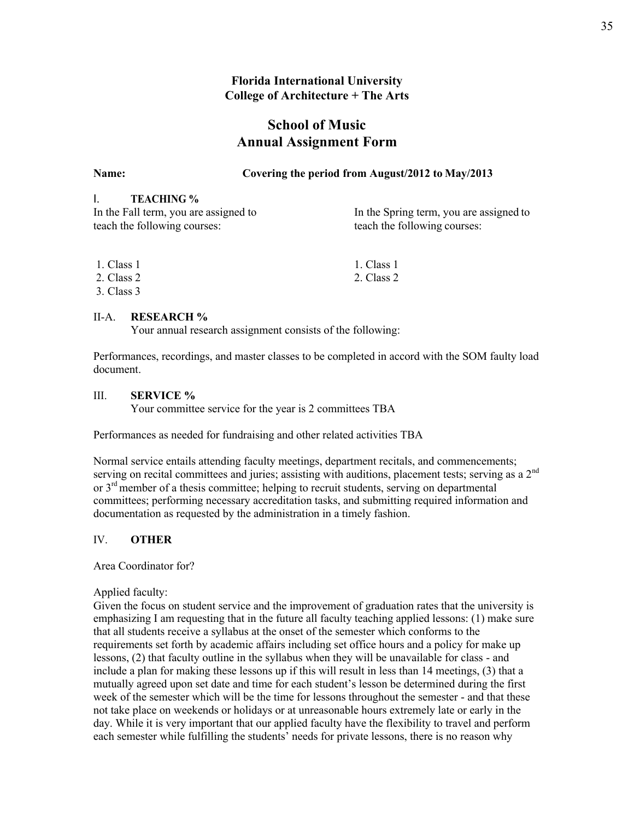## **Florida International University College of Architecture + The Arts**

# **School of Music Annual Assignment Form**

### **Name: Covering the period from August/2012 to May/2013**

## I. **TEACHING %**

| In the Fall term, you are assigned to | In the Spring term, you are assigned to |
|---------------------------------------|-----------------------------------------|
| teach the following courses:          | teach the following courses:            |

| 1. Class 1 | 1. Class 1 |
|------------|------------|
| 2. Class 2 | 2. Class 2 |
| 3. Class 3 |            |

#### II-A. **RESEARCH %**

Your annual research assignment consists of the following:

Performances, recordings, and master classes to be completed in accord with the SOM faulty load document.

#### III. **SERVICE %**

Your committee service for the year is 2 committees TBA

Performances as needed for fundraising and other related activities TBA

Normal service entails attending faculty meetings, department recitals, and commencements; serving on recital committees and juries; assisting with auditions, placement tests; serving as a  $2<sup>nd</sup>$ or  $3<sup>rd</sup>$  member of a thesis committee; helping to recruit students, serving on departmental committees; performing necessary accreditation tasks, and submitting required information and documentation as requested by the administration in a timely fashion.

#### IV. **OTHER**

Area Coordinator for?

Applied faculty:

Given the focus on student service and the improvement of graduation rates that the university is emphasizing I am requesting that in the future all faculty teaching applied lessons: (1) make sure that all students receive a syllabus at the onset of the semester which conforms to the requirements set forth by academic affairs including set office hours and a policy for make up lessons, (2) that faculty outline in the syllabus when they will be unavailable for class - and include a plan for making these lessons up if this will result in less than 14 meetings, (3) that a mutually agreed upon set date and time for each student's lesson be determined during the first week of the semester which will be the time for lessons throughout the semester - and that these not take place on weekends or holidays or at unreasonable hours extremely late or early in the day. While it is very important that our applied faculty have the flexibility to travel and perform each semester while fulfilling the students' needs for private lessons, there is no reason why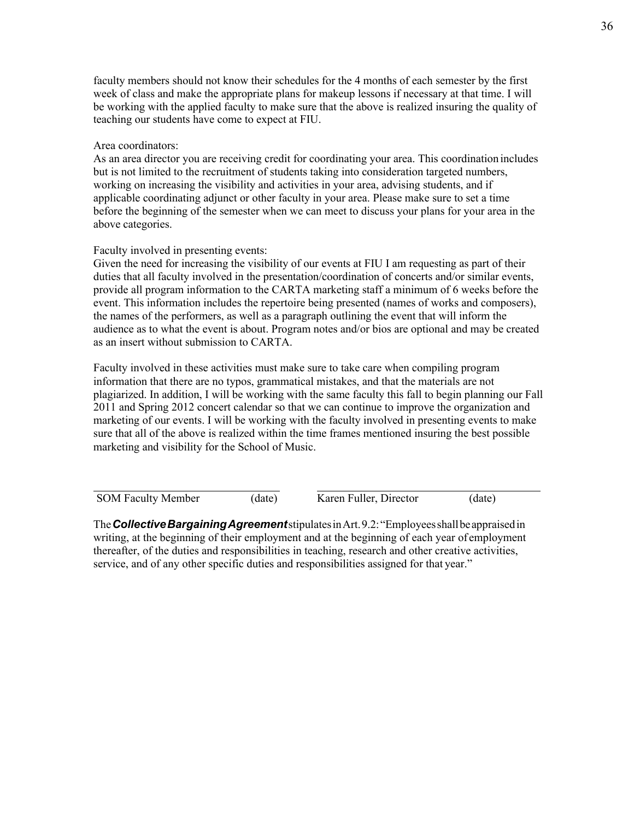faculty members should not know their schedules for the 4 months of each semester by the first week of class and make the appropriate plans for makeup lessons if necessary at that time. I will be working with the applied faculty to make sure that the above is realized insuring the quality of teaching our students have come to expect at FIU.

#### Area coordinators:

As an area director you are receiving credit for coordinating your area. This coordination includes but is not limited to the recruitment of students taking into consideration targeted numbers, working on increasing the visibility and activities in your area, advising students, and if applicable coordinating adjunct or other faculty in your area. Please make sure to set a time before the beginning of the semester when we can meet to discuss your plans for your area in the above categories.

#### Faculty involved in presenting events:

Given the need for increasing the visibility of our events at FIU I am requesting as part of their duties that all faculty involved in the presentation/coordination of concerts and/or similar events, provide all program information to the CARTA marketing staff a minimum of 6 weeks before the event. This information includes the repertoire being presented (names of works and composers), the names of the performers, as well as a paragraph outlining the event that will inform the audience as to what the event is about. Program notes and/or bios are optional and may be created as an insert without submission to CARTA.

Faculty involved in these activities must make sure to take care when compiling program information that there are no typos, grammatical mistakes, and that the materials are not plagiarized. In addition, I will be working with the same faculty this fall to begin planning our Fall 2011 and Spring 2012 concert calendar so that we can continue to improve the organization and marketing of our events. I will be working with the faculty involved in presenting events to make sure that all of the above is realized within the time frames mentioned insuring the best possible marketing and visibility for the School of Music.

SOM Faculty Member (date) Karen Fuller, Director (date)

The*CollectiveBargainingAgreement*stipulatesinArt.9.2:"Employeesshallbeappraisedin writing, at the beginning of their employment and at the beginning of each year of employment thereafter, of the duties and responsibilities in teaching, research and other creative activities, service, and of any other specific duties and responsibilities assigned for that year."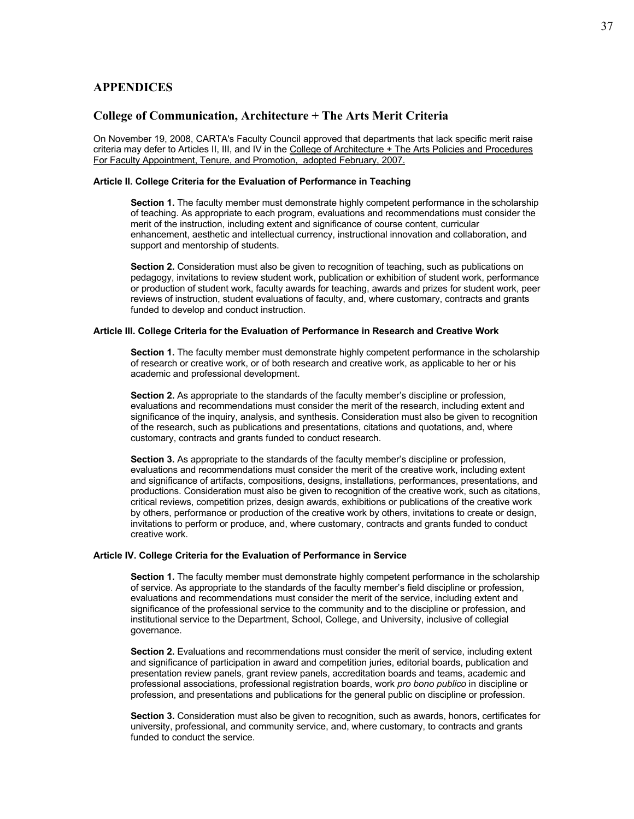### **APPENDICES**

#### **College of Communication, Architecture + The Arts Merit Criteria**

On November 19, 2008, CARTA's Faculty Council approved that departments that lack specific merit raise criteria may defer to Articles II, III, and IV in the College of Architecture + The Arts Policies and Procedures For Faculty Appointment, Tenure, and Promotion, adopted February, 2007.

#### **Article II. College Criteria for the Evaluation of Performance in Teaching**

**Section 1.** The faculty member must demonstrate highly competent performance in the scholarship of teaching. As appropriate to each program, evaluations and recommendations must consider the merit of the instruction, including extent and significance of course content, curricular enhancement, aesthetic and intellectual currency, instructional innovation and collaboration, and support and mentorship of students.

**Section 2.** Consideration must also be given to recognition of teaching, such as publications on pedagogy, invitations to review student work, publication or exhibition of student work, performance or production of student work, faculty awards for teaching, awards and prizes for student work, peer reviews of instruction, student evaluations of faculty, and, where customary, contracts and grants funded to develop and conduct instruction.

#### **Article III. College Criteria for the Evaluation of Performance in Research and Creative Work**

**Section 1.** The faculty member must demonstrate highly competent performance in the scholarship of research or creative work, or of both research and creative work, as applicable to her or his academic and professional development.

**Section 2.** As appropriate to the standards of the faculty member's discipline or profession, evaluations and recommendations must consider the merit of the research, including extent and significance of the inquiry, analysis, and synthesis. Consideration must also be given to recognition of the research, such as publications and presentations, citations and quotations, and, where customary, contracts and grants funded to conduct research.

**Section 3.** As appropriate to the standards of the faculty member's discipline or profession, evaluations and recommendations must consider the merit of the creative work, including extent and significance of artifacts, compositions, designs, installations, performances, presentations, and productions. Consideration must also be given to recognition of the creative work, such as citations, critical reviews, competition prizes, design awards, exhibitions or publications of the creative work by others, performance or production of the creative work by others, invitations to create or design, invitations to perform or produce, and, where customary, contracts and grants funded to conduct creative work.

#### **Article IV. College Criteria for the Evaluation of Performance in Service**

**Section 1.** The faculty member must demonstrate highly competent performance in the scholarship of service. As appropriate to the standards of the faculty member's field discipline or profession, evaluations and recommendations must consider the merit of the service, including extent and significance of the professional service to the community and to the discipline or profession, and institutional service to the Department, School, College, and University, inclusive of collegial governance.

**Section 2.** Evaluations and recommendations must consider the merit of service, including extent and significance of participation in award and competition juries, editorial boards, publication and presentation review panels, grant review panels, accreditation boards and teams, academic and professional associations, professional registration boards, work *pro bono publico* in discipline or profession, and presentations and publications for the general public on discipline or profession.

**Section 3.** Consideration must also be given to recognition, such as awards, honors, certificates for university, professional, and community service, and, where customary, to contracts and grants funded to conduct the service.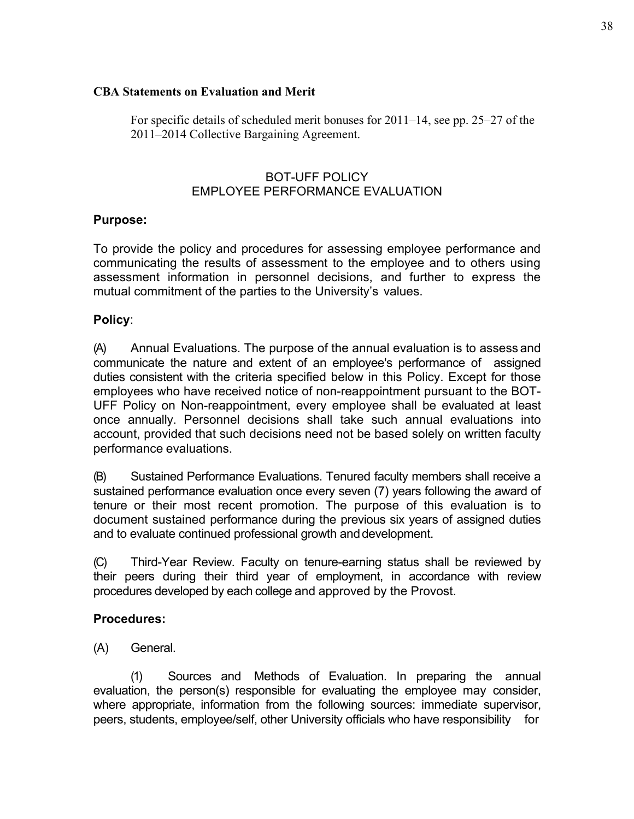## **CBA Statements on Evaluation and Merit**

For specific details of scheduled merit bonuses for 2011–14, see pp. 25–27 of the 2011–2014 Collective Bargaining Agreement.

# BOT-UFF POLICY EMPLOYEE PERFORMANCE EVALUATION

# **Purpose:**

To provide the policy and procedures for assessing employee performance and communicating the results of assessment to the employee and to others using assessment information in personnel decisions, and further to express the mutual commitment of the parties to the University's values.

# **Policy**:

(A) Annual Evaluations. The purpose of the annual evaluation is to assess and communicate the nature and extent of an employee's performance of assigned duties consistent with the criteria specified below in this Policy. Except for those employees who have received notice of non-reappointment pursuant to the BOT-UFF Policy on Non-reappointment, every employee shall be evaluated at least once annually. Personnel decisions shall take such annual evaluations into account, provided that such decisions need not be based solely on written faculty performance evaluations.

(B) Sustained Performance Evaluations. Tenured faculty members shall receive a sustained performance evaluation once every seven (7) years following the award of tenure or their most recent promotion. The purpose of this evaluation is to document sustained performance during the previous six years of assigned duties and to evaluate continued professional growth and development.

(C) Third-Year Review*.* Faculty on tenure-earning status shall be reviewed by their peers during their third year of employment, in accordance with review procedures developed by each college and approved by the Provost.

# **Procedures:**

(A) General.

(1) Sources and Methods of Evaluation. In preparing the annual evaluation, the person(s) responsible for evaluating the employee may consider, where appropriate, information from the following sources: immediate supervisor, peers, students, employee/self, other University officials who have responsibility for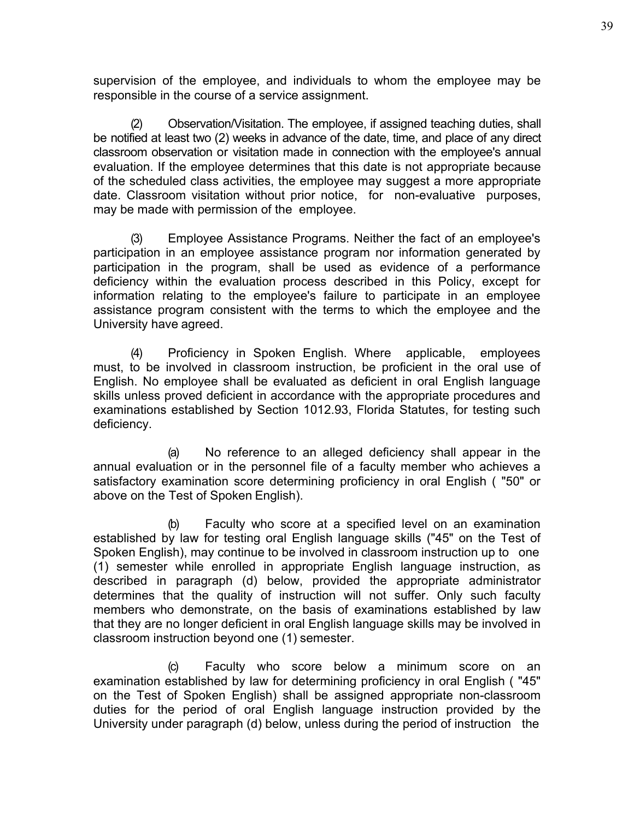supervision of the employee, and individuals to whom the employee may be responsible in the course of a service assignment.

(2) Observation/Visitation. The employee, if assigned teaching duties, shall be notified at least two (2) weeks in advance of the date, time, and place of any direct classroom observation or visitation made in connection with the employee's annual evaluation. If the employee determines that this date is not appropriate because of the scheduled class activities, the employee may suggest a more appropriate date. Classroom visitation without prior notice, for non-evaluative purposes, may be made with permission of the employee.

(3) Employee Assistance Programs. Neither the fact of an employee's participation in an employee assistance program nor information generated by participation in the program, shall be used as evidence of a performance deficiency within the evaluation process described in this Policy, except for information relating to the employee's failure to participate in an employee assistance program consistent with the terms to which the employee and the University have agreed.

(4) Proficiency in Spoken English. Where applicable, employees must, to be involved in classroom instruction, be proficient in the oral use of English. No employee shall be evaluated as deficient in oral English language skills unless proved deficient in accordance with the appropriate procedures and examinations established by Section 1012.93, Florida Statutes, for testing such deficiency.

(a) No reference to an alleged deficiency shall appear in the annual evaluation or in the personnel file of a faculty member who achieves a satisfactory examination score determining proficiency in oral English ( "50" or above on the Test of Spoken English).

(b) Faculty who score at a specified level on an examination established by law for testing oral English language skills ("45" on the Test of Spoken English), may continue to be involved in classroom instruction up to one (1) semester while enrolled in appropriate English language instruction, as described in paragraph (d) below, provided the appropriate administrator determines that the quality of instruction will not suffer. Only such faculty members who demonstrate, on the basis of examinations established by law that they are no longer deficient in oral English language skills may be involved in classroom instruction beyond one (1) semester.

(c) Faculty who score below a minimum score on an examination established by law for determining proficiency in oral English ( "45" on the Test of Spoken English) shall be assigned appropriate non-classroom duties for the period of oral English language instruction provided by the University under paragraph (d) below, unless during the period of instruction the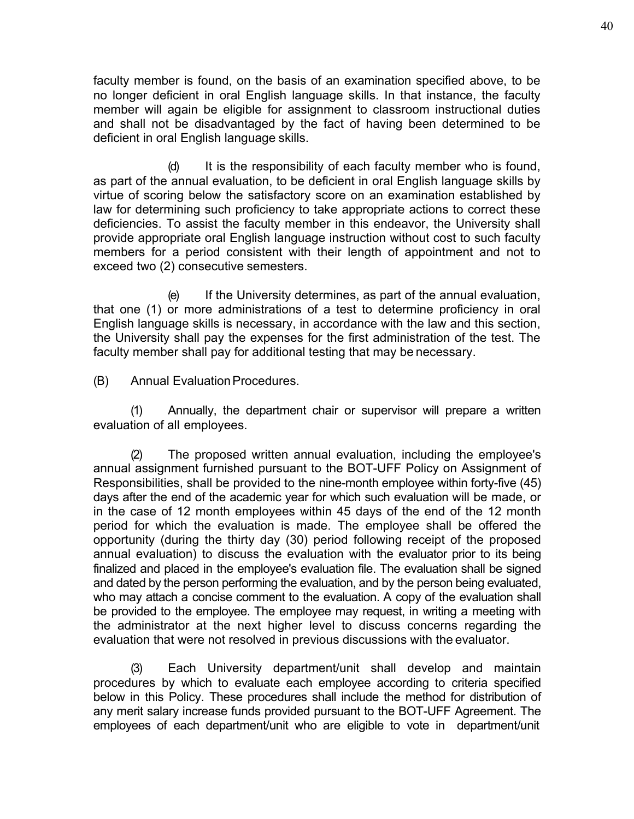faculty member is found, on the basis of an examination specified above, to be no longer deficient in oral English language skills. In that instance, the faculty member will again be eligible for assignment to classroom instructional duties and shall not be disadvantaged by the fact of having been determined to be deficient in oral English language skills.

(d) It is the responsibility of each faculty member who is found, as part of the annual evaluation, to be deficient in oral English language skills by virtue of scoring below the satisfactory score on an examination established by law for determining such proficiency to take appropriate actions to correct these deficiencies. To assist the faculty member in this endeavor, the University shall provide appropriate oral English language instruction without cost to such faculty members for a period consistent with their length of appointment and not to exceed two (2) consecutive semesters.

(e) If the University determines, as part of the annual evaluation, that one (1) or more administrations of a test to determine proficiency in oral English language skills is necessary, in accordance with the law and this section, the University shall pay the expenses for the first administration of the test. The faculty member shall pay for additional testing that may be necessary.

(B) Annual EvaluationProcedures.

(1) Annually, the department chair or supervisor will prepare a written evaluation of all employees.

(2) The proposed written annual evaluation, including the employee's annual assignment furnished pursuant to the BOT-UFF Policy on Assignment of Responsibilities, shall be provided to the nine-month employee within forty-five (45) days after the end of the academic year for which such evaluation will be made, or in the case of 12 month employees within 45 days of the end of the 12 month period for which the evaluation is made. The employee shall be offered the opportunity (during the thirty day (30) period following receipt of the proposed annual evaluation) to discuss the evaluation with the evaluator prior to its being finalized and placed in the employee's evaluation file. The evaluation shall be signed and dated by the person performing the evaluation, and by the person being evaluated, who may attach a concise comment to the evaluation. A copy of the evaluation shall be provided to the employee. The employee may request, in writing a meeting with the administrator at the next higher level to discuss concerns regarding the evaluation that were not resolved in previous discussions with the evaluator.

(3) Each University department/unit shall develop and maintain procedures by which to evaluate each employee according to criteria specified below in this Policy. These procedures shall include the method for distribution of any merit salary increase funds provided pursuant to the BOT-UFF Agreement. The employees of each department/unit who are eligible to vote in department/unit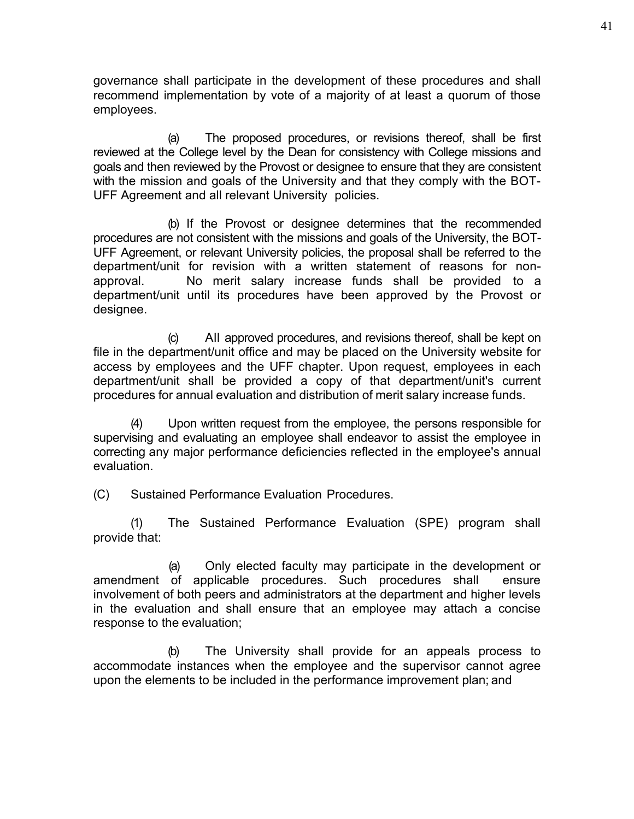governance shall participate in the development of these procedures and shall recommend implementation by vote of a majority of at least a quorum of those employees.

(a) The proposed procedures, or revisions thereof, shall be first reviewed at the College level by the Dean for consistency with College missions and goals and then reviewed by the Provost or designee to ensure that they are consistent with the mission and goals of the University and that they comply with the BOT-UFF Agreement and all relevant University policies.

(b) If the Provost or designee determines that the recommended procedures are not consistent with the missions and goals of the University, the BOT-UFF Agreement, or relevant University policies, the proposal shall be referred to the department/unit for revision with a written statement of reasons for nonapproval. No merit salary increase funds shall be provided to a department/unit until its procedures have been approved by the Provost or designee.

(c) All approved procedures, and revisions thereof, shall be kept on file in the department/unit office and may be placed on the University website for access by employees and the UFF chapter. Upon request, employees in each department/unit shall be provided a copy of that department/unit's current procedures for annual evaluation and distribution of merit salary increase funds.

(4) Upon written request from the employee, the persons responsible for supervising and evaluating an employee shall endeavor to assist the employee in correcting any major performance deficiencies reflected in the employee's annual evaluation.

(C) Sustained Performance Evaluation Procedures.

(1) The Sustained Performance Evaluation (SPE) program shall provide that:

(a) Only elected faculty may participate in the development or amendment of applicable procedures. Such procedures shall ensure involvement of both peers and administrators at the department and higher levels in the evaluation and shall ensure that an employee may attach a concise response to the evaluation;

(b) The University shall provide for an appeals process to accommodate instances when the employee and the supervisor cannot agree upon the elements to be included in the performance improvement plan; and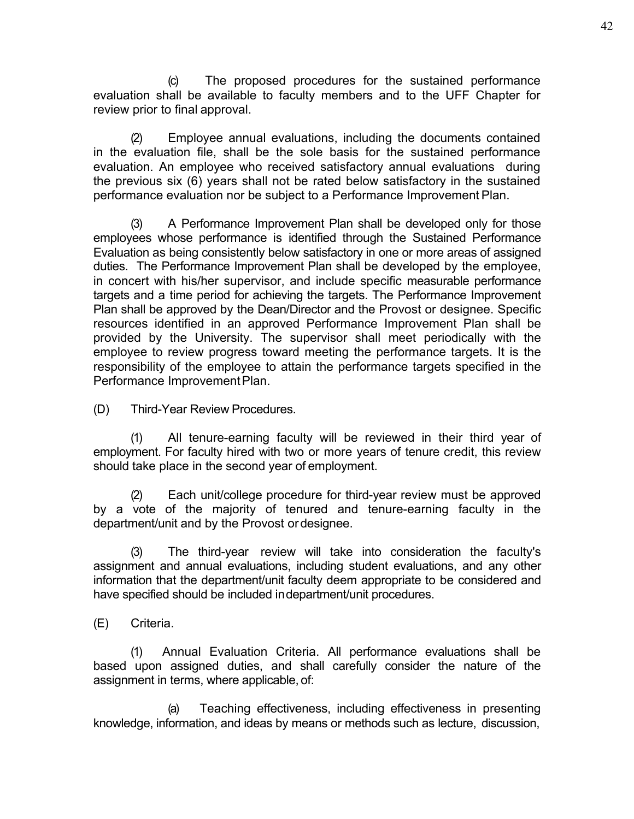(c) The proposed procedures for the sustained performance evaluation shall be available to faculty members and to the UFF Chapter for review prior to final approval.

(2) Employee annual evaluations, including the documents contained in the evaluation file, shall be the sole basis for the sustained performance evaluation. An employee who received satisfactory annual evaluations during the previous six (6) years shall not be rated below satisfactory in the sustained performance evaluation nor be subject to a Performance Improvement Plan.

(3) A Performance Improvement Plan shall be developed only for those employees whose performance is identified through the Sustained Performance Evaluation as being consistently below satisfactory in one or more areas of assigned duties. The Performance Improvement Plan shall be developed by the employee, in concert with his/her supervisor, and include specific measurable performance targets and a time period for achieving the targets. The Performance Improvement Plan shall be approved by the Dean/Director and the Provost or designee. Specific resources identified in an approved Performance Improvement Plan shall be provided by the University. The supervisor shall meet periodically with the employee to review progress toward meeting the performance targets. It is the responsibility of the employee to attain the performance targets specified in the Performance Improvement Plan.

(D) Third-Year Review Procedures.

(1) All tenure-earning faculty will be reviewed in their third year of employment. For faculty hired with two or more years of tenure credit, this review should take place in the second year of employment.

(2) Each unit/college procedure for third-year review must be approved by a vote of the majority of tenured and tenure-earning faculty in the department/unit and by the Provost ordesignee.

(3) The third-year review will take into consideration the faculty's assignment and annual evaluations, including student evaluations, and any other information that the department/unit faculty deem appropriate to be considered and have specified should be included indepartment/unit procedures.

(E) Criteria.

(1) Annual Evaluation Criteria. All performance evaluations shall be based upon assigned duties, and shall carefully consider the nature of the assignment in terms, where applicable, of:

(a) Teaching effectiveness, including effectiveness in presenting knowledge, information, and ideas by means or methods such as lecture, discussion,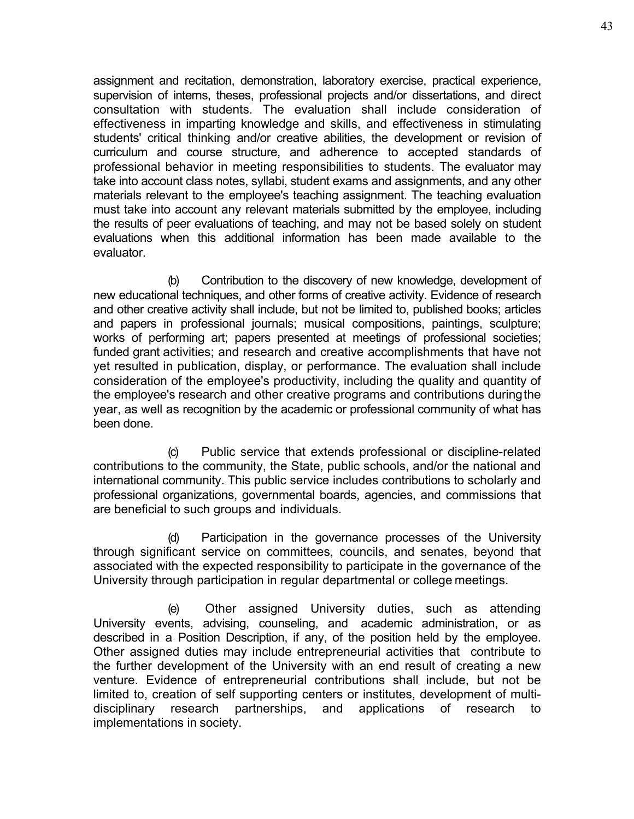assignment and recitation, demonstration, laboratory exercise, practical experience, supervision of interns, theses, professional projects and/or dissertations, and direct consultation with students. The evaluation shall include consideration of effectiveness in imparting knowledge and skills, and effectiveness in stimulating students' critical thinking and/or creative abilities, the development or revision of curriculum and course structure, and adherence to accepted standards of professional behavior in meeting responsibilities to students. The evaluator may take into account class notes, syllabi, student exams and assignments, and any other materials relevant to the employee's teaching assignment. The teaching evaluation must take into account any relevant materials submitted by the employee, including the results of peer evaluations of teaching, and may not be based solely on student evaluations when this additional information has been made available to the evaluator.

(b) Contribution to the discovery of new knowledge, development of new educational techniques, and other forms of creative activity. Evidence of research and other creative activity shall include, but not be limited to, published books; articles and papers in professional journals; musical compositions, paintings, sculpture; works of performing art; papers presented at meetings of professional societies; funded grant activities; and research and creative accomplishments that have not yet resulted in publication, display, or performance. The evaluation shall include consideration of the employee's productivity, including the quality and quantity of the employee's research and other creative programs and contributions duringthe year, as well as recognition by the academic or professional community of what has been done.

(c) Public service that extends professional or discipline-related contributions to the community, the State, public schools, and/or the national and international community. This public service includes contributions to scholarly and professional organizations, governmental boards, agencies, and commissions that are beneficial to such groups and individuals.

(d) Participation in the governance processes of the University through significant service on committees, councils, and senates, beyond that associated with the expected responsibility to participate in the governance of the University through participation in regular departmental or college meetings.

(e) Other assigned University duties, such as attending University events, advising, counseling, and academic administration, or as described in a Position Description, if any, of the position held by the employee. Other assigned duties may include entrepreneurial activities that contribute to the further development of the University with an end result of creating a new venture. Evidence of entrepreneurial contributions shall include, but not be limited to, creation of self supporting centers or institutes, development of multidisciplinary research partnerships, and applications of research to implementations in society.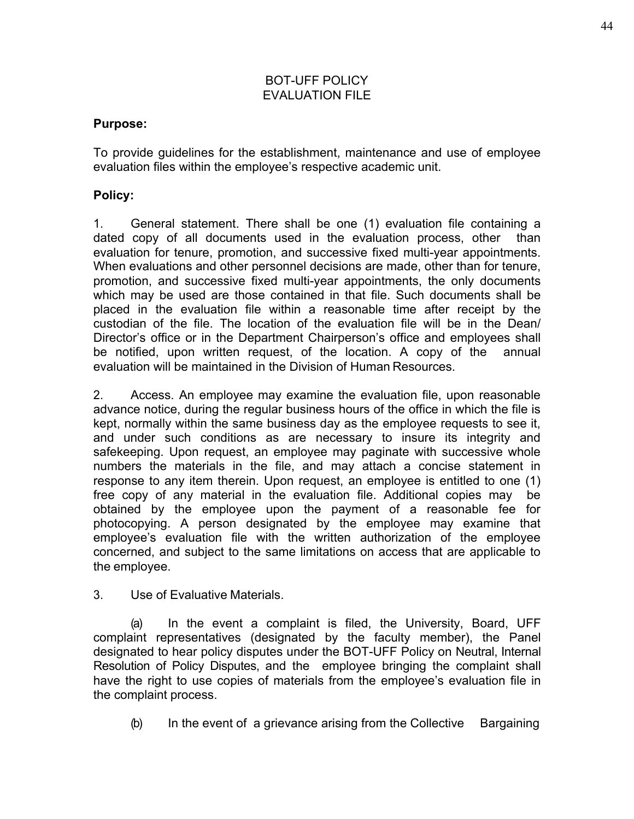# BOT-UFF POLICY EVALUATION FILE

# **Purpose:**

To provide guidelines for the establishment, maintenance and use of employee evaluation files within the employee's respective academic unit.

# **Policy:**

1. General statement. There shall be one (1) evaluation file containing a dated copy of all documents used in the evaluation process, other than evaluation for tenure, promotion, and successive fixed multi-year appointments. When evaluations and other personnel decisions are made, other than for tenure, promotion, and successive fixed multi-year appointments, the only documents which may be used are those contained in that file. Such documents shall be placed in the evaluation file within a reasonable time after receipt by the custodian of the file. The location of the evaluation file will be in the Dean/ Director's office or in the Department Chairperson's office and employees shall be notified, upon written request, of the location. A copy of the annual evaluation will be maintained in the Division of Human Resources.

2. Access. An employee may examine the evaluation file, upon reasonable advance notice, during the regular business hours of the office in which the file is kept, normally within the same business day as the employee requests to see it, and under such conditions as are necessary to insure its integrity and safekeeping. Upon request, an employee may paginate with successive whole numbers the materials in the file, and may attach a concise statement in response to any item therein. Upon request, an employee is entitled to one (1) free copy of any material in the evaluation file. Additional copies may be obtained by the employee upon the payment of a reasonable fee for photocopying. A person designated by the employee may examine that employee's evaluation file with the written authorization of the employee concerned, and subject to the same limitations on access that are applicable to the employee.

3. Use of Evaluative Materials.

(a) In the event a complaint is filed, the University, Board, UFF complaint representatives (designated by the faculty member), the Panel designated to hear policy disputes under the BOT-UFF Policy on Neutral, Internal Resolution of Policy Disputes, and the employee bringing the complaint shall have the right to use copies of materials from the employee's evaluation file in the complaint process.

(b) In the event of a grievance arising from the Collective Bargaining